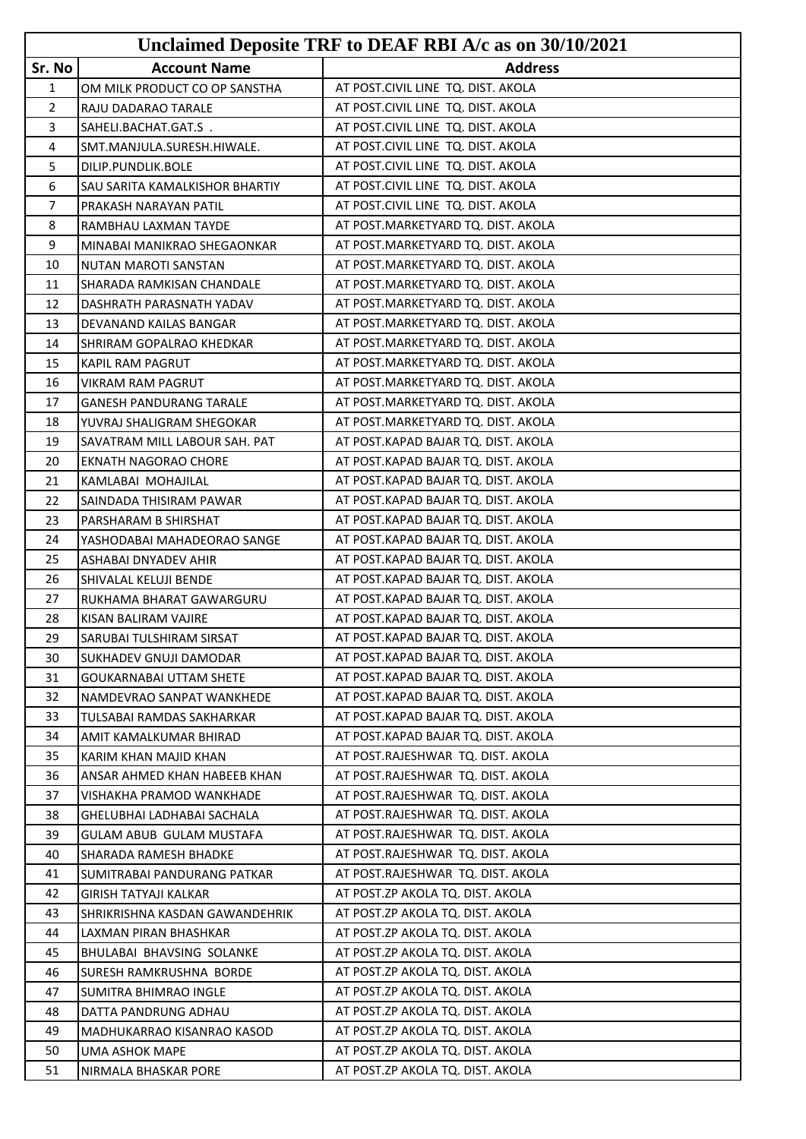|                |                                | Unclaimed Deposite TRF to DEAF RBI A/c as on 30/10/2021 |
|----------------|--------------------------------|---------------------------------------------------------|
| Sr. No         | <b>Account Name</b>            | <b>Address</b>                                          |
| 1              | OM MILK PRODUCT CO OP SANSTHA  | AT POST.CIVIL LINE TQ. DIST. AKOLA                      |
| $\overline{2}$ | RAJU DADARAO TARALE            | AT POST.CIVIL LINE TQ. DIST. AKOLA                      |
| 3              | SAHELI.BACHAT.GAT.S.           | AT POST.CIVIL LINE TQ. DIST. AKOLA                      |
| 4              | SMT.MANJULA.SURESH.HIWALE.     | AT POST.CIVIL LINE TQ. DIST. AKOLA                      |
| 5              | DILIP.PUNDLIK.BOLE             | AT POST.CIVIL LINE TQ. DIST. AKOLA                      |
| 6              | SAU SARITA KAMALKISHOR BHARTIY | AT POST.CIVIL LINE TQ. DIST. AKOLA                      |
| 7              | PRAKASH NARAYAN PATIL          | AT POST.CIVIL LINE TQ. DIST. AKOLA                      |
| 8              | RAMBHAU LAXMAN TAYDE           | AT POST.MARKETYARD TQ. DIST. AKOLA                      |
| 9              | MINABAI MANIKRAO SHEGAONKAR    | AT POST.MARKETYARD TQ. DIST. AKOLA                      |
| 10             | NUTAN MAROTI SANSTAN           | AT POST.MARKETYARD TQ. DIST. AKOLA                      |
| 11             | SHARADA RAMKISAN CHANDALE      | AT POST.MARKETYARD TQ. DIST. AKOLA                      |
| 12             | DASHRATH PARASNATH YADAV       | AT POST.MARKETYARD TQ. DIST. AKOLA                      |
| 13             | DEVANAND KAILAS BANGAR         | AT POST.MARKETYARD TQ. DIST. AKOLA                      |
| 14             | SHRIRAM GOPALRAO KHEDKAR       | AT POST.MARKETYARD TQ. DIST. AKOLA                      |
| 15             | KAPIL RAM PAGRUT               | AT POST.MARKETYARD TQ. DIST. AKOLA                      |
| 16             | VIKRAM RAM PAGRUT              | AT POST.MARKETYARD TQ. DIST. AKOLA                      |
| 17             | <b>GANESH PANDURANG TARALE</b> | AT POST.MARKETYARD TQ. DIST. AKOLA                      |
| 18             | YUVRAJ SHALIGRAM SHEGOKAR      | AT POST.MARKETYARD TQ. DIST. AKOLA                      |
| 19             | SAVATRAM MILL LABOUR SAH. PAT  | AT POST.KAPAD BAJAR TQ. DIST. AKOLA                     |
| 20             | EKNATH NAGORAO CHORE           | AT POST.KAPAD BAJAR TQ. DIST. AKOLA                     |
| 21             | KAMLABAI MOHAJILAL             | AT POST.KAPAD BAJAR TQ. DIST. AKOLA                     |
| 22             | SAINDADA THISIRAM PAWAR        | AT POST.KAPAD BAJAR TQ. DIST. AKOLA                     |
| 23             | PARSHARAM B SHIRSHAT           | AT POST.KAPAD BAJAR TQ. DIST. AKOLA                     |
| 24             | YASHODABAI MAHADEORAO SANGE    | AT POST.KAPAD BAJAR TQ. DIST. AKOLA                     |
| 25             | ASHABAI DNYADEV AHIR           | AT POST.KAPAD BAJAR TQ. DIST. AKOLA                     |
| 26             | SHIVALAL KELUJI BENDE          | AT POST.KAPAD BAJAR TQ. DIST. AKOLA                     |
| 27             | RUKHAMA BHARAT GAWARGURU       | AT POST.KAPAD BAJAR TQ. DIST. AKOLA                     |
| 28             | KISAN BALIRAM VAJIRE           | AT POST.KAPAD BAJAR TQ. DIST. AKOLA                     |
| 29             | SARUBAI TULSHIRAM SIRSAT       | AT POST.KAPAD BAJAR TQ. DIST. AKOLA                     |
| 30             | SUKHADEV GNUJI DAMODAR         | AT POST.KAPAD BAJAR TQ. DIST. AKOLA                     |
| 31             | GOUKARNABAI UTTAM SHETE        | AT POST.KAPAD BAJAR TQ. DIST. AKOLA                     |
| 32             | NAMDEVRAO SANPAT WANKHEDE      | AT POST.KAPAD BAJAR TQ. DIST. AKOLA                     |
| 33             | TULSABAI RAMDAS SAKHARKAR      | AT POST.KAPAD BAJAR TQ. DIST. AKOLA                     |
| 34             | AMIT KAMALKUMAR BHIRAD         | AT POST.KAPAD BAJAR TQ. DIST. AKOLA                     |
| 35             | KARIM KHAN MAJID KHAN          | AT POST.RAJESHWAR TQ. DIST. AKOLA                       |
| 36             | ANSAR AHMED KHAN HABEEB KHAN   | AT POST.RAJESHWAR TQ. DIST. AKOLA                       |
| 37             | VISHAKHA PRAMOD WANKHADE       | AT POST.RAJESHWAR TQ. DIST. AKOLA                       |
| 38             | GHELUBHAI LADHABAI SACHALA     | AT POST.RAJESHWAR TQ. DIST. AKOLA                       |
| 39             | GULAM ABUB GULAM MUSTAFA       | AT POST.RAJESHWAR TQ. DIST. AKOLA                       |
| 40             | SHARADA RAMESH BHADKE          | AT POST.RAJESHWAR TQ. DIST. AKOLA                       |
| 41             | SUMITRABAI PANDURANG PATKAR    | AT POST.RAJESHWAR TQ. DIST. AKOLA                       |
| 42             | <b>GIRISH TATYAJI KALKAR</b>   | AT POST.ZP AKOLA TQ. DIST. AKOLA                        |
| 43             | SHRIKRISHNA KASDAN GAWANDEHRIK | AT POST.ZP AKOLA TQ. DIST. AKOLA                        |
| 44             | LAXMAN PIRAN BHASHKAR          | AT POST.ZP AKOLA TQ. DIST. AKOLA                        |
| 45             | BHULABAI BHAVSING SOLANKE      | AT POST.ZP AKOLA TQ. DIST. AKOLA                        |
| 46             | SURESH RAMKRUSHNA BORDE        | AT POST.ZP AKOLA TQ. DIST. AKOLA                        |
| 47             | SUMITRA BHIMRAO INGLE          | AT POST.ZP AKOLA TQ. DIST. AKOLA                        |
| 48             | DATTA PANDRUNG ADHAU           | AT POST.ZP AKOLA TQ. DIST. AKOLA                        |
| 49             | MADHUKARRAO KISANRAO KASOD     | AT POST.ZP AKOLA TQ. DIST. AKOLA                        |
| 50             | UMA ASHOK MAPE                 | AT POST.ZP AKOLA TQ. DIST. AKOLA                        |
| 51             | NIRMALA BHASKAR PORE           | AT POST.ZP AKOLA TQ. DIST. AKOLA                        |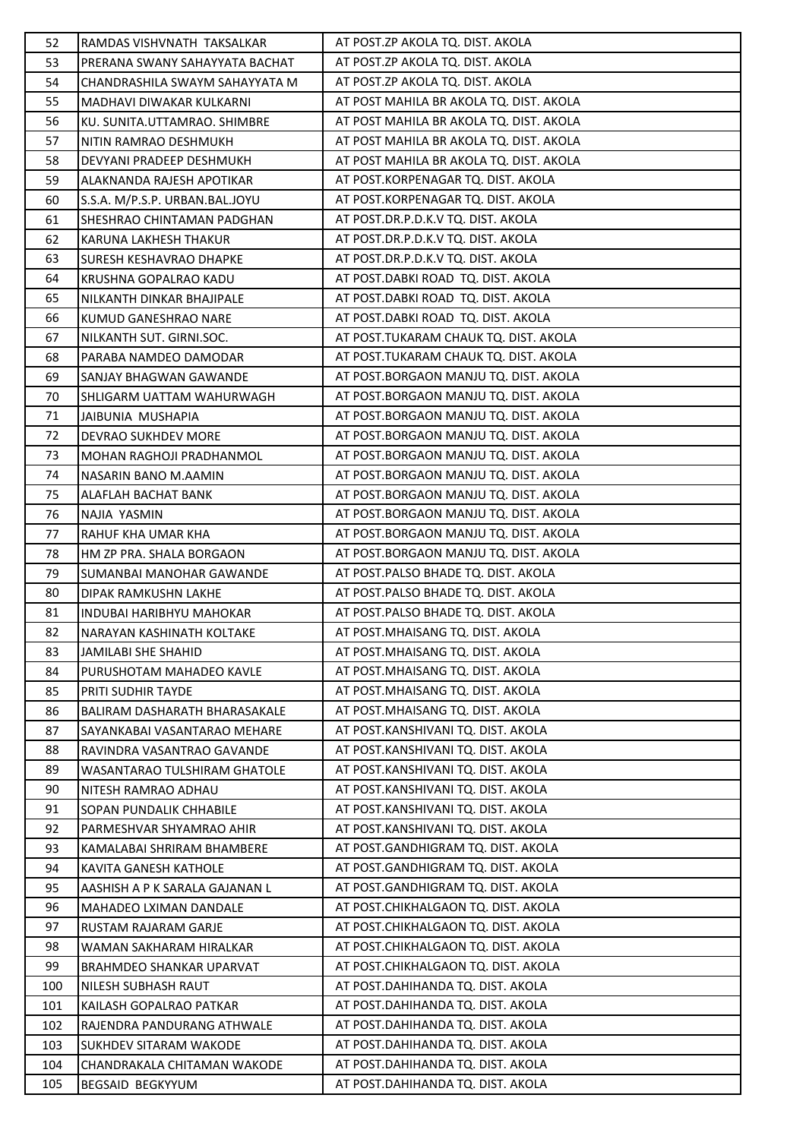| 52         | RAMDAS VISHVNATH TAKSALKAR                                  | AT POST.ZP AKOLA TQ. DIST. AKOLA                                       |
|------------|-------------------------------------------------------------|------------------------------------------------------------------------|
| 53         | PRERANA SWANY SAHAYYATA BACHAT                              | AT POST.ZP AKOLA TQ. DIST. AKOLA                                       |
| 54         | CHANDRASHILA SWAYM SAHAYYATA M                              | AT POST.ZP AKOLA TQ. DIST. AKOLA                                       |
| 55         | <b>MADHAVI DIWAKAR KULKARNI</b>                             | AT POST MAHILA BR AKOLA TQ. DIST. AKOLA                                |
| 56         | KU. SUNITA.UTTAMRAO. SHIMBRE                                | AT POST MAHILA BR AKOLA TQ. DIST. AKOLA                                |
| 57         | NITIN RAMRAO DESHMUKH                                       | AT POST MAHILA BR AKOLA TQ. DIST. AKOLA                                |
| 58         | DEVYANI PRADEEP DESHMUKH                                    | AT POST MAHILA BR AKOLA TQ. DIST. AKOLA                                |
| 59         | ALAKNANDA RAJESH APOTIKAR                                   | AT POST.KORPENAGAR TO. DIST. AKOLA                                     |
| 60         | S.S.A. M/P.S.P. URBAN.BAL.JOYU                              | AT POST.KORPENAGAR TQ. DIST. AKOLA                                     |
| 61         | SHESHRAO CHINTAMAN PADGHAN                                  | AT POST.DR.P.D.K.V TQ. DIST. AKOLA                                     |
| 62         | KARUNA LAKHESH THAKUR                                       | AT POST.DR.P.D.K.V TQ. DIST. AKOLA                                     |
| 63         | <b>SURESH KESHAVRAO DHAPKE</b>                              | AT POST.DR.P.D.K.V TQ. DIST. AKOLA                                     |
| 64         | KRUSHNA GOPALRAO KADU                                       | AT POST.DABKI ROAD TQ. DIST. AKOLA                                     |
| 65         | NILKANTH DINKAR BHAJIPALE                                   | AT POST.DABKI ROAD TQ. DIST. AKOLA                                     |
| 66         | KUMUD GANESHRAO NARE                                        | AT POST.DABKI ROAD TQ. DIST. AKOLA                                     |
| 67         | NILKANTH SUT. GIRNI.SOC.                                    | AT POST.TUKARAM CHAUK TQ. DIST. AKOLA                                  |
| 68         | PARABA NAMDEO DAMODAR                                       | AT POST.TUKARAM CHAUK TQ. DIST. AKOLA                                  |
| 69         | SANJAY BHAGWAN GAWANDE                                      | AT POST.BORGAON MANJU TQ. DIST. AKOLA                                  |
| 70         | SHLIGARM UATTAM WAHURWAGH                                   | AT POST.BORGAON MANJU TQ. DIST. AKOLA                                  |
| 71         | JAIBUNIA MUSHAPIA                                           | AT POST.BORGAON MANJU TQ. DIST. AKOLA                                  |
| 72         | DEVRAO SUKHDEV MORE                                         | AT POST.BORGAON MANJU TQ. DIST. AKOLA                                  |
| 73         | MOHAN RAGHOJI PRADHANMOL                                    | AT POST.BORGAON MANJU TQ. DIST. AKOLA                                  |
| 74         | NASARIN BANO M.AAMIN                                        | AT POST.BORGAON MANJU TQ. DIST. AKOLA                                  |
| 75         | ALAFLAH BACHAT BANK                                         | AT POST.BORGAON MANJU TQ. DIST. AKOLA                                  |
| 76         | NAJIA YASMIN                                                | AT POST.BORGAON MANJU TQ. DIST. AKOLA                                  |
| 77         | RAHUF KHA UMAR KHA                                          | AT POST.BORGAON MANJU TQ. DIST. AKOLA                                  |
| 78         | HM ZP PRA. SHALA BORGAON                                    | AT POST.BORGAON MANJU TQ. DIST. AKOLA                                  |
| 79         | SUMANBAI MANOHAR GAWANDE                                    | AT POST.PALSO BHADE TQ. DIST. AKOLA                                    |
| 80         | DIPAK RAMKUSHN LAKHE                                        | AT POST.PALSO BHADE TQ. DIST. AKOLA                                    |
| 81         | <b>INDUBAI HARIBHYU MAHOKAR</b>                             | AT POST.PALSO BHADE TQ. DIST. AKOLA                                    |
| 82         | NARAYAN KASHINATH KOLTAKE                                   | AT POST.MHAISANG TQ. DIST. AKOLA                                       |
| 83         | JAMILABI SHE SHAHID                                         | AT POST.MHAISANG TQ. DIST. AKOLA                                       |
| 84         | PURUSHOTAM MAHADEO KAVLE                                    | AT POST.MHAISANG TQ. DIST. AKOLA                                       |
| 85         | PRITI SUDHIR TAYDE                                          | AT POST. MHAISANG TO. DIST. AKOLA                                      |
| 86         | BALIRAM DASHARATH BHARASAKALE                               | AT POST.MHAISANG TQ. DIST. AKOLA                                       |
| 87         | SAYANKABAI VASANTARAO MEHARE                                | AT POST.KANSHIVANI TQ. DIST. AKOLA                                     |
| 88         | RAVINDRA VASANTRAO GAVANDE                                  | AT POST.KANSHIVANI TQ. DIST. AKOLA                                     |
| 89         | WASANTARAO TULSHIRAM GHATOLE                                | AT POST.KANSHIVANI TQ. DIST. AKOLA                                     |
| 90         | NITESH RAMRAO ADHAU                                         | AT POST.KANSHIVANI TQ. DIST. AKOLA                                     |
| 91         | SOPAN PUNDALIK CHHABILE                                     | AT POST.KANSHIVANI TO. DIST. AKOLA                                     |
| 92         | PARMESHVAR SHYAMRAO AHIR                                    | AT POST.KANSHIVANI TQ. DIST. AKOLA                                     |
| 93         | KAMALABAI SHRIRAM BHAMBERE                                  | AT POST.GANDHIGRAM TQ. DIST. AKOLA                                     |
| 94         | KAVITA GANESH KATHOLE                                       | AT POST.GANDHIGRAM TQ. DIST. AKOLA                                     |
| 95         | AASHISH A P K SARALA GAJANAN L                              | AT POST.GANDHIGRAM TQ. DIST. AKOLA                                     |
| 96         | MAHADEO LXIMAN DANDALE                                      | AT POST.CHIKHALGAON TQ. DIST. AKOLA                                    |
| 97         | RUSTAM RAJARAM GARJE                                        | AT POST.CHIKHALGAON TQ. DIST. AKOLA                                    |
| 98         | WAMAN SAKHARAM HIRALKAR                                     | AT POST.CHIKHALGAON TQ. DIST. AKOLA                                    |
| 99         | BRAHMDEO SHANKAR UPARVAT                                    | AT POST.CHIKHALGAON TQ. DIST. AKOLA                                    |
| 100        | NILESH SUBHASH RAUT                                         | AT POST.DAHIHANDA TQ. DIST. AKOLA                                      |
| 101        | KAILASH GOPALRAO PATKAR                                     | AT POST.DAHIHANDA TQ. DIST. AKOLA                                      |
| 102<br>103 | RAJENDRA PANDURANG ATHWALE<br><b>SUKHDEV SITARAM WAKODE</b> | AT POST.DAHIHANDA TQ. DIST. AKOLA<br>AT POST.DAHIHANDA TQ. DIST. AKOLA |
| 104        | CHANDRAKALA CHITAMAN WAKODE                                 | AT POST.DAHIHANDA TQ. DIST. AKOLA                                      |
| 105        | BEGSAID BEGKYYUM                                            | AT POST.DAHIHANDA TQ. DIST. AKOLA                                      |
|            |                                                             |                                                                        |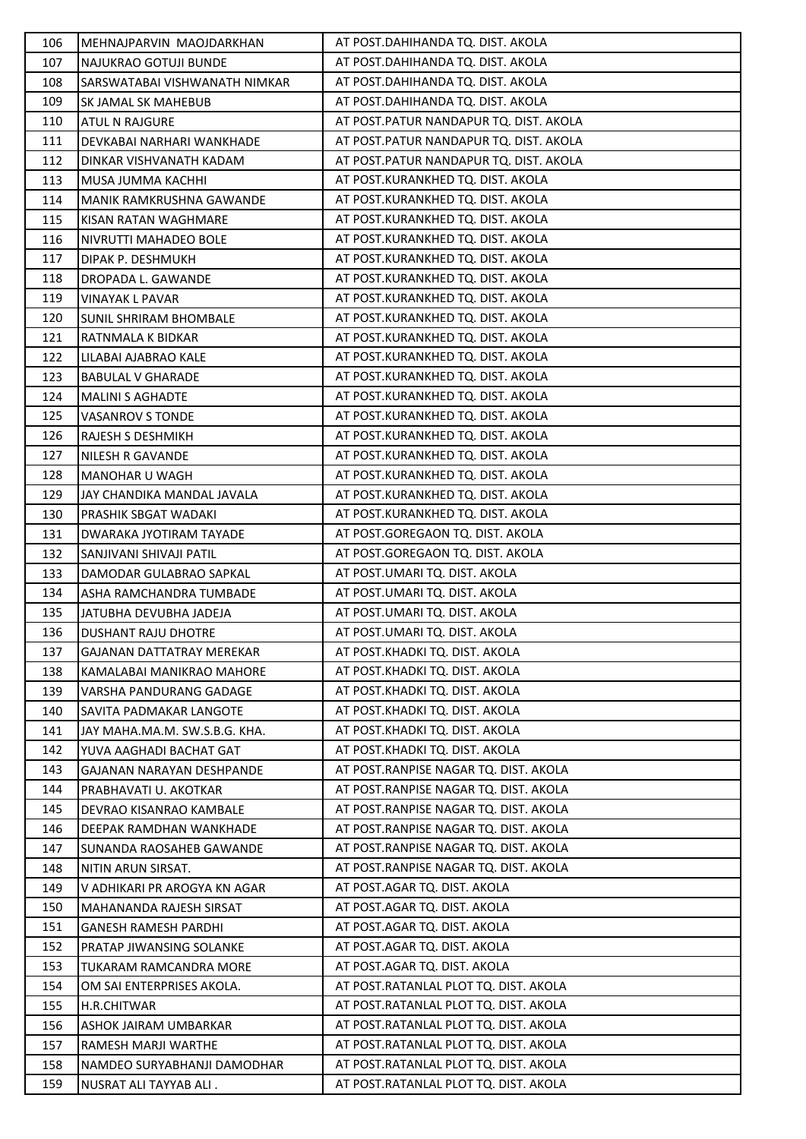| 106        | MEHNAJPARVIN MAOJDARKHAN                           | AT POST.DAHIHANDA TQ. DIST. AKOLA                                              |
|------------|----------------------------------------------------|--------------------------------------------------------------------------------|
| 107        | NAJUKRAO GOTUJI BUNDE                              | AT POST.DAHIHANDA TQ. DIST. AKOLA                                              |
| 108        | SARSWATABAI VISHWANATH NIMKAR                      | AT POST.DAHIHANDA TQ. DIST. AKOLA                                              |
| 109        | SK JAMAL SK MAHEBUB                                | AT POST.DAHIHANDA TQ. DIST. AKOLA                                              |
| 110        | <b>ATUL N RAJGURE</b>                              | AT POST.PATUR NANDAPUR TQ. DIST. AKOLA                                         |
| 111        | DEVKABAI NARHARI WANKHADE                          | AT POST.PATUR NANDAPUR TQ. DIST. AKOLA                                         |
| 112        | DINKAR VISHVANATH KADAM                            | AT POST.PATUR NANDAPUR TQ. DIST. AKOLA                                         |
| 113        | MUSA JUMMA KACHHI                                  | AT POST.KURANKHED TQ. DIST. AKOLA                                              |
| 114        | MANIK RAMKRUSHNA GAWANDE                           | AT POST.KURANKHED TQ. DIST. AKOLA                                              |
| 115        | KISAN RATAN WAGHMARE                               | AT POST.KURANKHED TQ. DIST. AKOLA                                              |
| 116        | NIVRUTTI MAHADEO BOLE                              | AT POST.KURANKHED TQ. DIST. AKOLA                                              |
| 117        | DIPAK P. DESHMUKH                                  | AT POST.KURANKHED TQ. DIST. AKOLA                                              |
| 118        | DROPADA L. GAWANDE                                 | AT POST.KURANKHED TQ. DIST. AKOLA                                              |
| 119        | VINAYAK L PAVAR                                    | AT POST.KURANKHED TQ. DIST. AKOLA                                              |
| 120        | <b>SUNIL SHRIRAM BHOMBALE</b>                      | AT POST.KURANKHED TQ. DIST. AKOLA                                              |
| 121        | RATNMALA K BIDKAR                                  | AT POST.KURANKHED TQ. DIST. AKOLA                                              |
| 122        | LILABAI AJABRAO KALE                               | AT POST.KURANKHED TQ. DIST. AKOLA                                              |
| 123        | <b>BABULAL V GHARADE</b>                           | AT POST.KURANKHED TQ. DIST. AKOLA                                              |
| 124        | <b>MALINI S AGHADTE</b>                            | AT POST.KURANKHED TQ. DIST. AKOLA                                              |
| 125        | <b>VASANROV S TONDE</b>                            | AT POST.KURANKHED TQ. DIST. AKOLA                                              |
| 126        | <b>RAJESH S DESHMIKH</b>                           | AT POST.KURANKHED TQ. DIST. AKOLA                                              |
| 127        | NILESH R GAVANDE                                   | AT POST.KURANKHED TQ. DIST. AKOLA                                              |
| 128        | <b>MANOHAR U WAGH</b>                              | AT POST.KURANKHED TQ. DIST. AKOLA                                              |
| 129        | JAY CHANDIKA MANDAL JAVALA                         | AT POST.KURANKHED TQ. DIST. AKOLA                                              |
| 130        | PRASHIK SBGAT WADAKI                               | AT POST.KURANKHED TQ. DIST. AKOLA                                              |
| 131        | DWARAKA JYOTIRAM TAYADE                            | AT POST.GOREGAON TQ. DIST. AKOLA                                               |
| 132        | SANJIVANI SHIVAJI PATIL                            | AT POST.GOREGAON TQ. DIST. AKOLA                                               |
| 133        | DAMODAR GULABRAO SAPKAL                            | AT POST.UMARI TQ. DIST. AKOLA                                                  |
| 134        | ASHA RAMCHANDRA TUMBADE                            | AT POST.UMARI TQ. DIST. AKOLA                                                  |
| 135        | JATUBHA DEVUBHA JADEJA                             | AT POST.UMARI TQ. DIST. AKOLA                                                  |
| 136        | <b>DUSHANT RAJU DHOTRE</b>                         | AT POST.UMARI TQ. DIST. AKOLA                                                  |
| 137        | <b>GAJANAN DATTATRAY MEREKAR</b>                   | AT POST.KHADKI TQ. DIST. AKOLA                                                 |
| 138        | KAMALABAI MANIKRAO MAHORE                          | AT POST.KHADKI TQ. DIST. AKOLA                                                 |
| 139        | VARSHA PANDURANG GADAGE                            | AT POST.KHADKI TQ. DIST. AKOLA                                                 |
| 140        | SAVITA PADMAKAR LANGOTE                            | AT POST.KHADKI TQ. DIST. AKOLA                                                 |
| 141        | JAY MAHA.MA.M. SW.S.B.G. KHA.                      | AT POST.KHADKI TQ. DIST. AKOLA                                                 |
| 142        | YUVA AAGHADI BACHAT GAT                            | AT POST.KHADKI TQ. DIST. AKOLA                                                 |
| 143        | GAJANAN NARAYAN DESHPANDE                          | AT POST.RANPISE NAGAR TQ. DIST. AKOLA                                          |
| 144        | PRABHAVATI U. AKOTKAR                              | AT POST. RANPISE NAGAR TO. DIST. AKOLA                                         |
| 145        | DEVRAO KISANRAO KAMBALE                            | AT POST.RANPISE NAGAR TQ. DIST. AKOLA                                          |
| 146        | DEEPAK RAMDHAN WANKHADE                            | AT POST. RANPISE NAGAR TO. DIST. AKOLA                                         |
| 147        | SUNANDA RAOSAHEB GAWANDE                           | AT POST. RANPISE NAGAR TO. DIST. AKOLA                                         |
| 148        | NITIN ARUN SIRSAT.                                 | AT POST.RANPISE NAGAR TQ. DIST. AKOLA                                          |
| 149        | V ADHIKARI PR AROGYA KN AGAR                       | AT POST.AGAR TQ. DIST. AKOLA                                                   |
| 150        | <b>MAHANANDA RAJESH SIRSAT</b>                     | AT POST.AGAR TO. DIST. AKOLA                                                   |
| 151        | <b>GANESH RAMESH PARDHI</b>                        | AT POST.AGAR TQ. DIST. AKOLA                                                   |
| 152        | PRATAP JIWANSING SOLANKE                           | AT POST.AGAR TQ. DIST. AKOLA                                                   |
| 153        | TUKARAM RAMCANDRA MORE                             | AT POST.AGAR TQ. DIST. AKOLA                                                   |
| 154        | OM SAI ENTERPRISES AKOLA.                          | AT POST.RATANLAL PLOT TQ. DIST. AKOLA                                          |
| 155        | H.R.CHITWAR                                        | AT POST.RATANLAL PLOT TQ. DIST. AKOLA                                          |
| 156        | ASHOK JAIRAM UMBARKAR                              | AT POST.RATANLAL PLOT TQ. DIST. AKOLA                                          |
| 157<br>158 | RAMESH MARJI WARTHE<br>NAMDEO SURYABHANJI DAMODHAR | AT POST.RATANLAL PLOT TQ. DIST. AKOLA<br>AT POST.RATANLAL PLOT TQ. DIST. AKOLA |
| 159        |                                                    | AT POST.RATANLAL PLOT TQ. DIST. AKOLA                                          |
|            | NUSRAT ALI TAYYAB ALI.                             |                                                                                |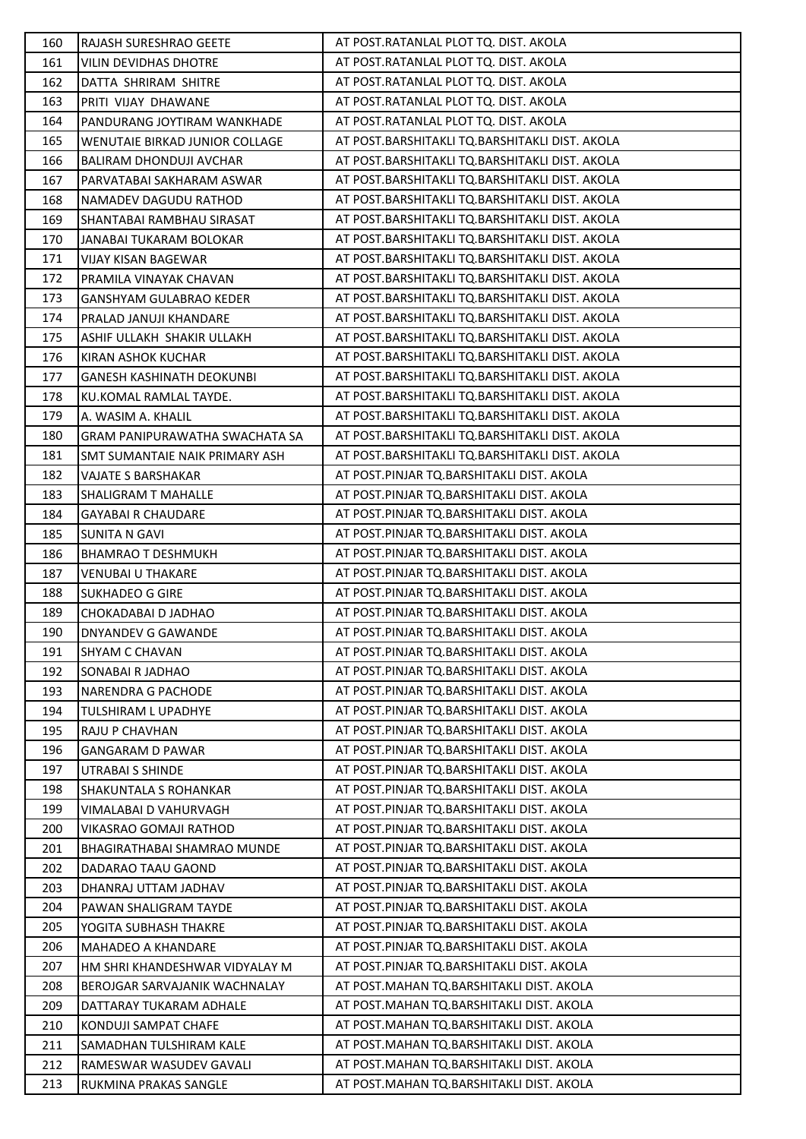| 160 | <b>RAJASH SURESHRAO GEETE</b>         | AT POST.RATANLAL PLOT TQ. DIST. AKOLA          |
|-----|---------------------------------------|------------------------------------------------|
| 161 | VILIN DEVIDHAS DHOTRE                 | AT POST.RATANLAL PLOT TQ. DIST. AKOLA          |
| 162 | DATTA SHRIRAM SHITRE                  | AT POST.RATANLAL PLOT TQ. DIST. AKOLA          |
| 163 | PRITI VIJAY DHAWANE                   | AT POST.RATANLAL PLOT TQ. DIST. AKOLA          |
| 164 | PANDURANG JOYTIRAM WANKHADE           | AT POST.RATANLAL PLOT TQ. DIST. AKOLA          |
| 165 | WENUTAIE BIRKAD JUNIOR COLLAGE        | AT POST.BARSHITAKLI TQ.BARSHITAKLI DIST. AKOLA |
| 166 | BALIRAM DHONDUJI AVCHAR               | AT POST.BARSHITAKLI TQ.BARSHITAKLI DIST. AKOLA |
| 167 | PARVATABAI SAKHARAM ASWAR             | AT POST.BARSHITAKLI TQ.BARSHITAKLI DIST. AKOLA |
| 168 | NAMADEV DAGUDU RATHOD                 | AT POST.BARSHITAKLI TQ.BARSHITAKLI DIST. AKOLA |
| 169 | SHANTABAI RAMBHAU SIRASAT             | AT POST.BARSHITAKLI TQ.BARSHITAKLI DIST. AKOLA |
| 170 | JANABAI TUKARAM BOLOKAR               | AT POST.BARSHITAKLI TQ.BARSHITAKLI DIST. AKOLA |
| 171 | VIJAY KISAN BAGEWAR                   | AT POST.BARSHITAKLI TQ.BARSHITAKLI DIST. AKOLA |
| 172 | PRAMILA VINAYAK CHAVAN                | AT POST.BARSHITAKLI TQ.BARSHITAKLI DIST. AKOLA |
| 173 | <b>GANSHYAM GULABRAO KEDER</b>        | AT POST.BARSHITAKLI TQ.BARSHITAKLI DIST. AKOLA |
| 174 | PRALAD JANUJI KHANDARE                | AT POST.BARSHITAKLI TQ.BARSHITAKLI DIST. AKOLA |
| 175 | ASHIF ULLAKH SHAKIR ULLAKH            | AT POST.BARSHITAKLI TQ.BARSHITAKLI DIST. AKOLA |
| 176 | KIRAN ASHOK KUCHAR                    | AT POST.BARSHITAKLI TQ.BARSHITAKLI DIST. AKOLA |
| 177 | <b>GANESH KASHINATH DEOKUNBI</b>      | AT POST.BARSHITAKLI TQ.BARSHITAKLI DIST. AKOLA |
| 178 | KU.KOMAL RAMLAL TAYDE.                | AT POST.BARSHITAKLI TQ.BARSHITAKLI DIST. AKOLA |
| 179 | A. WASIM A. KHALIL                    | AT POST.BARSHITAKLI TQ.BARSHITAKLI DIST. AKOLA |
| 180 | <b>GRAM PANIPURAWATHA SWACHATA SA</b> | AT POST.BARSHITAKLI TQ.BARSHITAKLI DIST. AKOLA |
| 181 | SMT SUMANTAIE NAIK PRIMARY ASH        | AT POST.BARSHITAKLI TQ.BARSHITAKLI DIST. AKOLA |
| 182 | <b>VAJATE S BARSHAKAR</b>             | AT POST.PINJAR TQ.BARSHITAKLI DIST. AKOLA      |
| 183 | SHALIGRAM T MAHALLE                   | AT POST.PINJAR TQ.BARSHITAKLI DIST. AKOLA      |
| 184 | <b>GAYABAI R CHAUDARE</b>             | AT POST.PINJAR TQ.BARSHITAKLI DIST. AKOLA      |
| 185 | <b>SUNITA N GAVI</b>                  | AT POST.PINJAR TQ.BARSHITAKLI DIST. AKOLA      |
| 186 | <b>BHAMRAO T DESHMUKH</b>             | AT POST.PINJAR TQ.BARSHITAKLI DIST. AKOLA      |
| 187 | <b>VENUBAI U THAKARE</b>              | AT POST.PINJAR TQ.BARSHITAKLI DIST. AKOLA      |
| 188 | <b>SUKHADEO G GIRE</b>                | AT POST.PINJAR TQ.BARSHITAKLI DIST. AKOLA      |
| 189 | CHOKADABAI D JADHAO                   | AT POST.PINJAR TQ.BARSHITAKLI DIST. AKOLA      |
| 190 | <b>DNYANDEV G GAWANDE</b>             | AT POST.PINJAR TQ.BARSHITAKLI DIST. AKOLA      |
| 191 | SHYAM C CHAVAN                        | AT POST.PINJAR TQ.BARSHITAKLI DIST. AKOLA      |
| 192 | SONABAI R JADHAO                      | AT POST.PINJAR TQ.BARSHITAKLI DIST. AKOLA      |
| 193 | NARENDRA G PACHODE                    | AT POST.PINJAR TO.BARSHITAKLI DIST. AKOLA      |
| 194 | TULSHIRAM L UPADHYE                   | AT POST.PINJAR TQ.BARSHITAKLI DIST. AKOLA      |
| 195 | RAJU P CHAVHAN                        | AT POST.PINJAR TQ.BARSHITAKLI DIST. AKOLA      |
| 196 | <b>GANGARAM D PAWAR</b>               | AT POST.PINJAR TQ.BARSHITAKLI DIST. AKOLA      |
| 197 | UTRABAI S SHINDE                      | AT POST.PINJAR TQ.BARSHITAKLI DIST. AKOLA      |
| 198 | SHAKUNTALA S ROHANKAR                 | AT POST.PINJAR TQ.BARSHITAKLI DIST. AKOLA      |
| 199 | VIMALABAI D VAHURVAGH                 | AT POST.PINJAR TO.BARSHITAKLI DIST. AKOLA      |
| 200 | VIKASRAO GOMAJI RATHOD                | AT POST.PINJAR TQ.BARSHITAKLI DIST. AKOLA      |
| 201 | BHAGIRATHABAI SHAMRAO MUNDE           | AT POST.PINJAR TQ.BARSHITAKLI DIST. AKOLA      |
| 202 | DADARAO TAAU GAOND                    | AT POST.PINJAR TQ.BARSHITAKLI DIST. AKOLA      |
| 203 | DHANRAJ UTTAM JADHAV                  | AT POST.PINJAR TQ.BARSHITAKLI DIST. AKOLA      |
| 204 | PAWAN SHALIGRAM TAYDE                 | AT POST.PINJAR TQ.BARSHITAKLI DIST. AKOLA      |
| 205 | YOGITA SUBHASH THAKRE                 | AT POST.PINJAR TQ.BARSHITAKLI DIST. AKOLA      |
| 206 | MAHADEO A KHANDARE                    | AT POST.PINJAR TQ.BARSHITAKLI DIST. AKOLA      |
| 207 | HM SHRI KHANDESHWAR VIDYALAY M        | AT POST.PINJAR TQ.BARSHITAKLI DIST. AKOLA      |
| 208 | BEROJGAR SARVAJANIK WACHNALAY         | AT POST.MAHAN TQ.BARSHITAKLI DIST. AKOLA       |
| 209 | DATTARAY TUKARAM ADHALE               | AT POST.MAHAN TQ.BARSHITAKLI DIST. AKOLA       |
| 210 | KONDUJI SAMPAT CHAFE                  | AT POST.MAHAN TQ.BARSHITAKLI DIST. AKOLA       |
| 211 | SAMADHAN TULSHIRAM KALE               | AT POST.MAHAN TQ.BARSHITAKLI DIST. AKOLA       |
| 212 | RAMESWAR WASUDEV GAVALI               | AT POST.MAHAN TQ.BARSHITAKLI DIST. AKOLA       |
| 213 | RUKMINA PRAKAS SANGLE                 | AT POST.MAHAN TQ.BARSHITAKLI DIST. AKOLA       |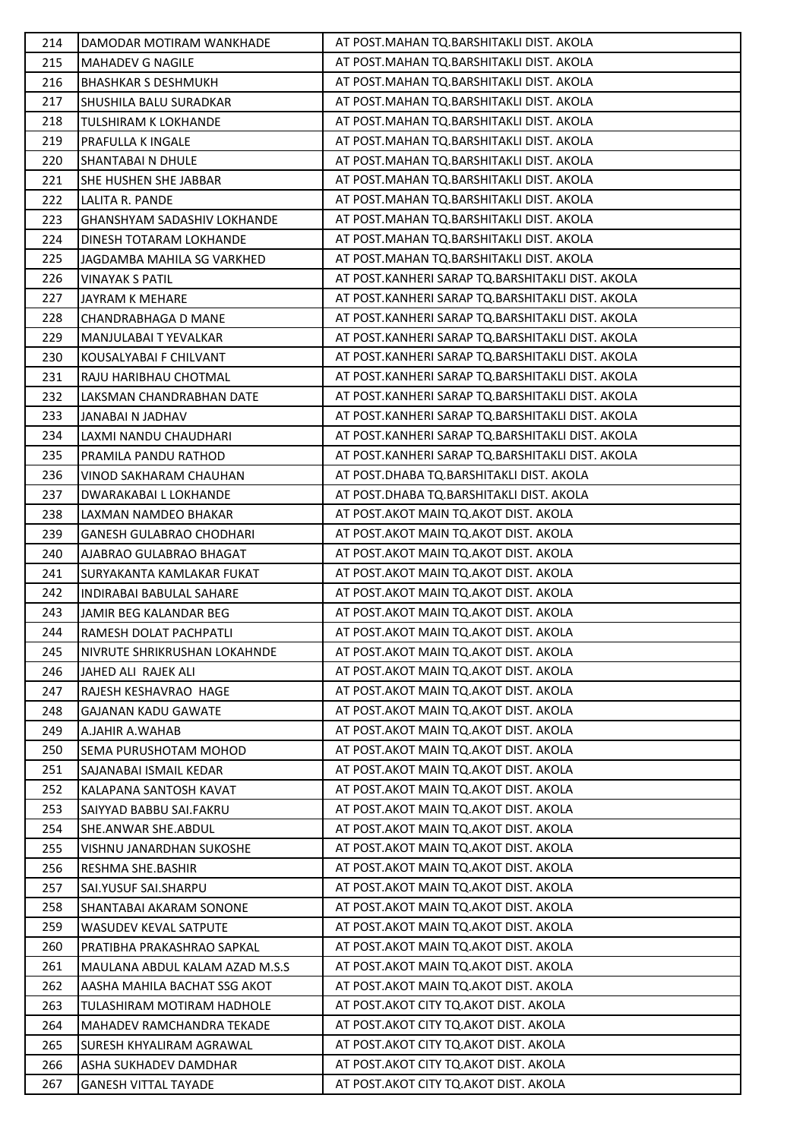| 214 | DAMODAR MOTIRAM WANKHADE         | AT POST.MAHAN TQ.BARSHITAKLI DIST. AKOLA         |
|-----|----------------------------------|--------------------------------------------------|
| 215 | <b>MAHADEV G NAGILE</b>          | AT POST.MAHAN TQ.BARSHITAKLI DIST. AKOLA         |
| 216 | <b>BHASHKAR S DESHMUKH</b>       | AT POST.MAHAN TQ.BARSHITAKLI DIST. AKOLA         |
| 217 | SHUSHILA BALU SURADKAR           | AT POST.MAHAN TQ.BARSHITAKLI DIST. AKOLA         |
| 218 | <b>TULSHIRAM K LOKHANDE</b>      | AT POST.MAHAN TQ.BARSHITAKLI DIST. AKOLA         |
| 219 | PRAFULLA K INGALE                | AT POST.MAHAN TQ.BARSHITAKLI DIST. AKOLA         |
| 220 | SHANTABAI N DHULE                | AT POST.MAHAN TQ.BARSHITAKLI DIST. AKOLA         |
| 221 | SHE HUSHEN SHE JABBAR            | AT POST.MAHAN TQ.BARSHITAKLI DIST. AKOLA         |
| 222 | LALITA R. PANDE                  | AT POST.MAHAN TQ.BARSHITAKLI DIST. AKOLA         |
| 223 | GHANSHYAM SADASHIV LOKHANDE      | AT POST.MAHAN TQ.BARSHITAKLI DIST. AKOLA         |
| 224 | DINESH TOTARAM LOKHANDE          | AT POST.MAHAN TQ.BARSHITAKLI DIST. AKOLA         |
| 225 | JAGDAMBA MAHILA SG VARKHED       | AT POST.MAHAN TQ.BARSHITAKLI DIST. AKOLA         |
| 226 | <b>VINAYAK S PATIL</b>           | AT POST.KANHERI SARAP TQ.BARSHITAKLI DIST. AKOLA |
| 227 | <b>JAYRAM K MEHARE</b>           | AT POST.KANHERI SARAP TQ.BARSHITAKLI DIST. AKOLA |
| 228 | CHANDRABHAGA D MANE              | AT POST.KANHERI SARAP TQ.BARSHITAKLI DIST. AKOLA |
| 229 | MANJULABAI T YEVALKAR            | AT POST.KANHERI SARAP TQ.BARSHITAKLI DIST. AKOLA |
| 230 | KOUSALYABAI F CHILVANT           | AT POST.KANHERI SARAP TQ.BARSHITAKLI DIST. AKOLA |
| 231 | RAJU HARIBHAU CHOTMAL            | AT POST.KANHERI SARAP TQ.BARSHITAKLI DIST. AKOLA |
| 232 | LAKSMAN CHANDRABHAN DATE         | AT POST.KANHERI SARAP TQ.BARSHITAKLI DIST. AKOLA |
| 233 | JANABAI N JADHAV                 | AT POST.KANHERI SARAP TQ.BARSHITAKLI DIST. AKOLA |
| 234 | LAXMI NANDU CHAUDHARI            | AT POST.KANHERI SARAP TQ.BARSHITAKLI DIST. AKOLA |
| 235 | PRAMILA PANDU RATHOD             | AT POST.KANHERI SARAP TQ.BARSHITAKLI DIST. AKOLA |
| 236 | VINOD SAKHARAM CHAUHAN           | AT POST.DHABA TQ.BARSHITAKLI DIST. AKOLA         |
| 237 | DWARAKABAI L LOKHANDE            | AT POST.DHABA TQ.BARSHITAKLI DIST. AKOLA         |
| 238 | LAXMAN NAMDEO BHAKAR             | AT POST.AKOT MAIN TQ.AKOT DIST. AKOLA            |
| 239 | <b>GANESH GULABRAO CHODHARI</b>  | AT POST.AKOT MAIN TQ.AKOT DIST. AKOLA            |
| 240 | AJABRAO GULABRAO BHAGAT          | AT POST.AKOT MAIN TQ.AKOT DIST. AKOLA            |
| 241 | SURYAKANTA KAMLAKAR FUKAT        | AT POST.AKOT MAIN TQ.AKOT DIST. AKOLA            |
| 242 | INDIRABAI BABULAL SAHARE         | AT POST.AKOT MAIN TQ.AKOT DIST. AKOLA            |
| 243 | JAMIR BEG KALANDAR BEG           | AT POST.AKOT MAIN TQ.AKOT DIST. AKOLA            |
| 244 | RAMESH DOLAT PACHPATLI           | AT POST.AKOT MAIN TQ.AKOT DIST. AKOLA            |
| 245 | NIVRUTE SHRIKRUSHAN LOKAHNDE     | AT POST. AKOT MAIN TO. AKOT DIST. AKOLA          |
| 246 | JAHED ALI RAJEK ALI              | AT POST. AKOT MAIN TO. AKOT DIST. AKOLA          |
| 247 | RAJESH KESHAVRAO HAGE            | AT POST.AKOT MAIN TQ.AKOT DIST. AKOLA            |
| 248 | <b>GAJANAN KADU GAWATE</b>       | AT POST.AKOT MAIN TQ.AKOT DIST. AKOLA            |
| 249 | A.JAHIR A.WAHAB                  | AT POST.AKOT MAIN TQ.AKOT DIST. AKOLA            |
| 250 | SEMA PURUSHOTAM MOHOD            | AT POST. AKOT MAIN TO. AKOT DIST. AKOLA          |
| 251 | SAJANABAI ISMAIL KEDAR           | AT POST. AKOT MAIN TO AKOT DIST. AKOLA           |
| 252 | KALAPANA SANTOSH KAVAT           | AT POST.AKOT MAIN TQ.AKOT DIST. AKOLA            |
| 253 | SAIYYAD BABBU SAI.FAKRU          | AT POST. AKOT MAIN TO. AKOT DIST. AKOLA          |
| 254 | SHE.ANWAR SHE.ABDUL              | AT POST.AKOT MAIN TQ.AKOT DIST. AKOLA            |
| 255 | VISHNU JANARDHAN SUKOSHE         | AT POST.AKOT MAIN TQ.AKOT DIST. AKOLA            |
| 256 | RESHMA SHE.BASHIR                | AT POST.AKOT MAIN TQ.AKOT DIST. AKOLA            |
| 257 | SAI.YUSUF SAI.SHARPU             | AT POST. AKOT MAIN TO AKOT DIST. AKOLA           |
| 258 | SHANTABAI AKARAM SONONE          | AT POST. AKOT MAIN TO. AKOT DIST. AKOLA          |
| 259 | WASUDEV KEVAL SATPUTE            | AT POST. AKOT MAIN TO. AKOT DIST. AKOLA          |
| 260 | PRATIBHA PRAKASHRAO SAPKAL       | AT POST.AKOT MAIN TQ.AKOT DIST. AKOLA            |
| 261 | MAULANA ABDUL KALAM AZAD M.S.S   | AT POST.AKOT MAIN TQ.AKOT DIST. AKOLA            |
| 262 | AASHA MAHILA BACHAT SSG AKOT     | AT POST.AKOT MAIN TQ.AKOT DIST. AKOLA            |
| 263 | TULASHIRAM MOTIRAM HADHOLE       | AT POST. AKOT CITY TO AKOT DIST. AKOLA           |
| 264 | <b>MAHADEV RAMCHANDRA TEKADE</b> | AT POST. AKOT CITY TO. AKOT DIST. AKOLA          |
| 265 | SURESH KHYALIRAM AGRAWAL         | AT POST. AKOT CITY TO. AKOT DIST. AKOLA          |
| 266 | ASHA SUKHADEV DAMDHAR            | AT POST. AKOT CITY TO AKOT DIST. AKOLA           |
| 267 | <b>GANESH VITTAL TAYADE</b>      | AT POST.AKOT CITY TQ.AKOT DIST. AKOLA            |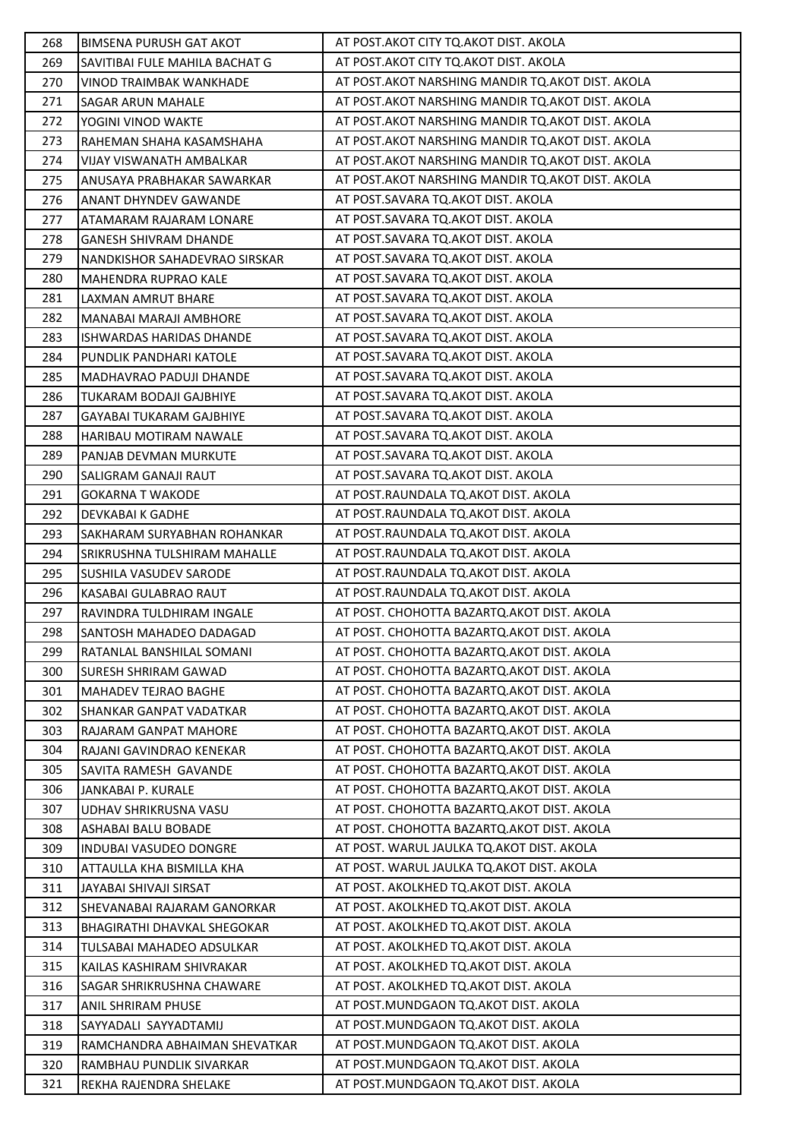| 268 | BIMSENA PURUSH GAT AKOT            | AT POST. AKOT CITY TO. AKOT DIST. AKOLA            |
|-----|------------------------------------|----------------------------------------------------|
| 269 | SAVITIBAI FULE MAHILA BACHAT G     | AT POST. AKOT CITY TQ. AKOT DIST. AKOLA            |
| 270 | VINOD TRAIMBAK WANKHADE            | AT POST.AKOT NARSHING MANDIR TQ.AKOT DIST. AKOLA   |
| 271 | <b>SAGAR ARUN MAHALE</b>           | AT POST. AKOT NARSHING MANDIR TO. AKOT DIST. AKOLA |
| 272 | YOGINI VINOD WAKTE                 | AT POST. AKOT NARSHING MANDIR TO. AKOT DIST. AKOLA |
| 273 | RAHEMAN SHAHA KASAMSHAHA           | AT POST. AKOT NARSHING MANDIR TQ. AKOT DIST. AKOLA |
| 274 | VIJAY VISWANATH AMBALKAR           | AT POST. AKOT NARSHING MANDIR TQ. AKOT DIST. AKOLA |
| 275 | ANUSAYA PRABHAKAR SAWARKAR         | AT POST. AKOT NARSHING MANDIR TO. AKOT DIST. AKOLA |
| 276 | <b>ANANT DHYNDEV GAWANDE</b>       | AT POST.SAVARA TQ.AKOT DIST. AKOLA                 |
| 277 | ATAMARAM RAJARAM LONARE            | AT POST.SAVARA TQ.AKOT DIST. AKOLA                 |
| 278 | <b>GANESH SHIVRAM DHANDE</b>       | AT POST.SAVARA TQ.AKOT DIST. AKOLA                 |
| 279 | NANDKISHOR SAHADEVRAO SIRSKAR      | AT POST.SAVARA TQ.AKOT DIST. AKOLA                 |
| 280 | <b>MAHENDRA RUPRAO KALE</b>        | AT POST.SAVARA TQ.AKOT DIST. AKOLA                 |
| 281 | LAXMAN AMRUT BHARE                 | AT POST.SAVARA TQ.AKOT DIST. AKOLA                 |
| 282 | MANABAI MARAJI AMBHORE             | AT POST.SAVARA TQ.AKOT DIST. AKOLA                 |
| 283 | ISHWARDAS HARIDAS DHANDE           | AT POST.SAVARA TQ.AKOT DIST. AKOLA                 |
| 284 | PUNDLIK PANDHARI KATOLE            | AT POST.SAVARA TQ.AKOT DIST. AKOLA                 |
| 285 | MADHAVRAO PADUJI DHANDE            | AT POST.SAVARA TQ.AKOT DIST. AKOLA                 |
| 286 | <b>TUKARAM BODAJI GAJBHIYE</b>     | AT POST. SAVARA TO. AKOT DIST. AKOLA               |
| 287 | <b>GAYABAI TUKARAM GAJBHIYE</b>    | AT POST.SAVARA TQ.AKOT DIST. AKOLA                 |
| 288 | HARIBAU MOTIRAM NAWALE             | AT POST.SAVARA TQ.AKOT DIST. AKOLA                 |
| 289 | PANJAB DEVMAN MURKUTE              | AT POST.SAVARA TQ.AKOT DIST. AKOLA                 |
| 290 | SALIGRAM GANAJI RAUT               | AT POST.SAVARA TQ.AKOT DIST. AKOLA                 |
| 291 | GOKARNA T WAKODE                   | AT POST.RAUNDALA TQ.AKOT DIST. AKOLA               |
| 292 | DEVKABAI K GADHE                   | AT POST.RAUNDALA TQ.AKOT DIST. AKOLA               |
| 293 | SAKHARAM SURYABHAN ROHANKAR        | AT POST.RAUNDALA TQ.AKOT DIST. AKOLA               |
| 294 | SRIKRUSHNA TULSHIRAM MAHALLE       | AT POST.RAUNDALA TQ.AKOT DIST. AKOLA               |
| 295 | SUSHILA VASUDEV SARODE             | AT POST.RAUNDALA TQ.AKOT DIST. AKOLA               |
| 296 | KASABAI GULABRAO RAUT              | AT POST.RAUNDALA TQ.AKOT DIST. AKOLA               |
| 297 | RAVINDRA TULDHIRAM INGALE          | AT POST. CHOHOTTA BAZARTQ.AKOT DIST. AKOLA         |
| 298 | SANTOSH MAHADEO DADAGAD            | AT POST. CHOHOTTA BAZARTQ.AKOT DIST. AKOLA         |
| 299 | RATANLAL BANSHILAL SOMANI          | AT POST. CHOHOTTA BAZARTO, AKOT DIST. AKOLA        |
| 300 | <b>SURESH SHRIRAM GAWAD</b>        | AT POST. CHOHOTTA BAZARTQ. AKOT DIST. AKOLA        |
| 301 | <b>MAHADEV TEJRAO BAGHE</b>        | AT POST. CHOHOTTA BAZARTO, AKOT DIST. AKOLA        |
| 302 | <b>SHANKAR GANPAT VADATKAR</b>     | AT POST. CHOHOTTA BAZARTQ. AKOT DIST. AKOLA        |
| 303 | RAJARAM GANPAT MAHORE              | AT POST. CHOHOTTA BAZARTQ. AKOT DIST. AKOLA        |
| 304 | RAJANI GAVINDRAO KENEKAR           | AT POST. CHOHOTTA BAZARTQ. AKOT DIST. AKOLA        |
| 305 | SAVITA RAMESH GAVANDE              | AT POST. CHOHOTTA BAZARTQ. AKOT DIST. AKOLA        |
| 306 | JANKABAI P. KURALE                 | AT POST. CHOHOTTA BAZARTQ. AKOT DIST. AKOLA        |
| 307 | <b>UDHAV SHRIKRUSNA VASU</b>       | AT POST. CHOHOTTA BAZARTO. AKOT DIST. AKOLA        |
| 308 | ASHABAI BALU BOBADE                | AT POST. CHOHOTTA BAZARTQ.AKOT DIST. AKOLA         |
| 309 | <b>INDUBAI VASUDEO DONGRE</b>      | AT POST. WARUL JAULKA TQ.AKOT DIST. AKOLA          |
| 310 | ATTAULLA KHA BISMILLA KHA          | AT POST. WARUL JAULKA TQ.AKOT DIST. AKOLA          |
| 311 | JAYABAI SHIVAJI SIRSAT             | AT POST. AKOLKHED TQ.AKOT DIST. AKOLA              |
| 312 | SHEVANABAI RAJARAM GANORKAR        | AT POST. AKOLKHED TQ.AKOT DIST. AKOLA              |
| 313 | <b>BHAGIRATHI DHAVKAL SHEGOKAR</b> | AT POST. AKOLKHED TQ.AKOT DIST. AKOLA              |
| 314 | TULSABAI MAHADEO ADSULKAR          | AT POST. AKOLKHED TQ.AKOT DIST. AKOLA              |
| 315 | KAILAS KASHIRAM SHIVRAKAR          | AT POST. AKOLKHED TQ.AKOT DIST. AKOLA              |
| 316 | SAGAR SHRIKRUSHNA CHAWARE          | AT POST. AKOLKHED TQ.AKOT DIST. AKOLA              |
| 317 | <b>ANIL SHRIRAM PHUSE</b>          | AT POST.MUNDGAON TQ.AKOT DIST. AKOLA               |
| 318 | SAYYADALI SAYYADTAMIJ              | AT POST.MUNDGAON TQ.AKOT DIST. AKOLA               |
| 319 | RAMCHANDRA ABHAIMAN SHEVATKAR      | AT POST.MUNDGAON TQ.AKOT DIST. AKOLA               |
| 320 | RAMBHAU PUNDLIK SIVARKAR           | AT POST.MUNDGAON TQ.AKOT DIST. AKOLA               |
| 321 | REKHA RAJENDRA SHELAKE             | AT POST.MUNDGAON TQ.AKOT DIST. AKOLA               |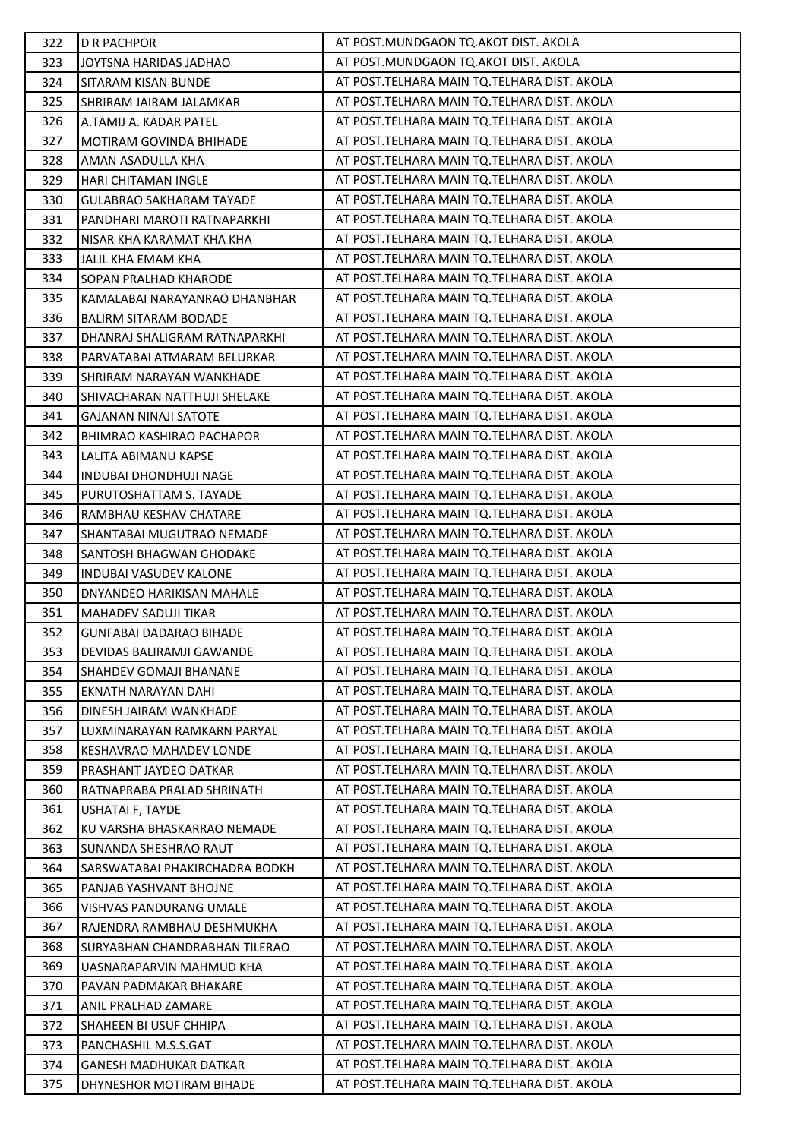| 322 | <b>D R PACHPOR</b>               | AT POST.MUNDGAON TQ.AKOT DIST. AKOLA          |
|-----|----------------------------------|-----------------------------------------------|
| 323 | JOYTSNA HARIDAS JADHAO           | AT POST.MUNDGAON TQ.AKOT DIST. AKOLA          |
| 324 | SITARAM KISAN BUNDE              | AT POST.TELHARA MAIN TQ.TELHARA DIST. AKOLA   |
| 325 | SHRIRAM JAIRAM JALAMKAR          | AT POST.TELHARA MAIN TQ.TELHARA DIST. AKOLA   |
| 326 | A.TAMIJ A. KADAR PATEL           | AT POST.TELHARA MAIN TQ.TELHARA DIST. AKOLA   |
| 327 | MOTIRAM GOVINDA BHIHADE          | AT POST.TELHARA MAIN TQ.TELHARA DIST. AKOLA   |
| 328 | AMAN ASADULLA KHA                | AT POST.TELHARA MAIN TQ.TELHARA DIST. AKOLA   |
| 329 | <b>HARI CHITAMAN INGLE</b>       | AT POST.TELHARA MAIN TQ.TELHARA DIST. AKOLA   |
| 330 | <b>GULABRAO SAKHARAM TAYADE</b>  | AT POST.TELHARA MAIN TQ.TELHARA DIST. AKOLA   |
| 331 | PANDHARI MAROTI RATNAPARKHI      | AT POST.TELHARA MAIN TQ.TELHARA DIST. AKOLA   |
| 332 | NISAR KHA KARAMAT KHA KHA        | AT POST.TELHARA MAIN TQ.TELHARA DIST. AKOLA   |
| 333 | JALIL KHA EMAM KHA               | AT POST.TELHARA MAIN TQ.TELHARA DIST. AKOLA   |
| 334 | SOPAN PRALHAD KHARODE            | AT POST.TELHARA MAIN TQ.TELHARA DIST. AKOLA   |
| 335 | KAMALABAI NARAYANRAO DHANBHAR    | AT POST.TELHARA MAIN TQ.TELHARA DIST. AKOLA   |
| 336 | <b>BALIRM SITARAM BODADE</b>     | AT POST.TELHARA MAIN TQ.TELHARA DIST. AKOLA   |
| 337 | DHANRAJ SHALIGRAM RATNAPARKHI    | AT POST.TELHARA MAIN TQ.TELHARA DIST. AKOLA   |
| 338 | PARVATABAI ATMARAM BELURKAR      | AT POST.TELHARA MAIN TQ.TELHARA DIST. AKOLA   |
| 339 | SHRIRAM NARAYAN WANKHADE         | AT POST.TELHARA MAIN TQ.TELHARA DIST. AKOLA   |
| 340 | SHIVACHARAN NATTHUJI SHELAKE     | AT POST.TELHARA MAIN TQ.TELHARA DIST. AKOLA   |
| 341 | <b>GAJANAN NINAJI SATOTE</b>     | AT POST.TELHARA MAIN TQ.TELHARA DIST. AKOLA   |
| 342 | <b>BHIMRAO KASHIRAO PACHAPOR</b> | AT POST.TELHARA MAIN TQ.TELHARA DIST. AKOLA   |
| 343 | LALITA ABIMANU KAPSE             | AT POST.TELHARA MAIN TQ.TELHARA DIST. AKOLA   |
| 344 | <b>INDUBAI DHONDHUJI NAGE</b>    | AT POST.TELHARA MAIN TQ.TELHARA DIST. AKOLA   |
| 345 | PURUTOSHATTAM S. TAYADE          | AT POST.TELHARA MAIN TQ.TELHARA DIST. AKOLA   |
| 346 | RAMBHAU KESHAV CHATARE           | AT POST.TELHARA MAIN TQ.TELHARA DIST. AKOLA   |
| 347 | SHANTABAI MUGUTRAO NEMADE        | AT POST.TELHARA MAIN TQ.TELHARA DIST. AKOLA   |
| 348 | <b>SANTOSH BHAGWAN GHODAKE</b>   | AT POST.TELHARA MAIN TQ.TELHARA DIST. AKOLA   |
| 349 | <b>INDUBAI VASUDEV KALONE</b>    | AT POST.TELHARA MAIN TQ.TELHARA DIST. AKOLA   |
| 350 | DNYANDEO HARIKISAN MAHALE        | AT POST.TELHARA MAIN TQ.TELHARA DIST. AKOLA   |
| 351 | <b>MAHADEV SADUJI TIKAR</b>      | AT POST.TELHARA MAIN TQ.TELHARA DIST. AKOLA   |
| 352 | <b>GUNFABAI DADARAO BIHADE</b>   | AT POST.TELHARA MAIN TQ.TELHARA DIST. AKOLA   |
| 353 | DEVIDAS BALIRAMJI GAWANDE        | AT POST.TELHARA MAIN TQ.TELHARA DIST. AKOLA   |
| 354 | <b>SHAHDEV GOMAJI BHANANE</b>    | AT POST.TELHARA MAIN TQ.TELHARA DIST. AKOLA   |
| 355 | EKNATH NARAYAN DAHI              | AT POST.TELHARA MAIN TQ.TELHARA DIST. AKOLA   |
| 356 | DINESH JAIRAM WANKHADE           | AT POST.TELHARA MAIN TQ.TELHARA DIST. AKOLA   |
| 357 | LUXMINARAYAN RAMKARN PARYAL      | AT POST.TELHARA MAIN TQ.TELHARA DIST. AKOLA   |
| 358 | KESHAVRAO MAHADEV LONDE          | AT POST.TELHARA MAIN TQ.TELHARA DIST. AKOLA   |
| 359 | PRASHANT JAYDEO DATKAR           | AT POST.TELHARA MAIN TQ.TELHARA DIST. AKOLA   |
| 360 | RATNAPRABA PRALAD SHRINATH       | AT POST.TELHARA MAIN TQ.TELHARA DIST. AKOLA   |
| 361 | USHATAI F, TAYDE                 | AT POST. TELHARA MAIN TO. TELHARA DIST. AKOLA |
| 362 | KU VARSHA BHASKARRAO NEMADE      | AT POST. TELHARA MAIN TO. TELHARA DIST. AKOLA |
| 363 | SUNANDA SHESHRAO RAUT            | AT POST.TELHARA MAIN TQ.TELHARA DIST. AKOLA   |
| 364 | SARSWATABAI PHAKIRCHADRA BODKH   | AT POST.TELHARA MAIN TQ.TELHARA DIST. AKOLA   |
| 365 | PANJAB YASHVANT BHOJNE           | AT POST.TELHARA MAIN TQ.TELHARA DIST. AKOLA   |
| 366 | <b>VISHVAS PANDURANG UMALE</b>   | AT POST. TELHARA MAIN TO. TELHARA DIST. AKOLA |
| 367 | RAJENDRA RAMBHAU DESHMUKHA       | AT POST. TELHARA MAIN TQ. TELHARA DIST. AKOLA |
| 368 | SURYABHAN CHANDRABHAN TILERAO    | AT POST.TELHARA MAIN TQ.TELHARA DIST. AKOLA   |
| 369 | UASNARAPARVIN MAHMUD KHA         | AT POST.TELHARA MAIN TQ.TELHARA DIST. AKOLA   |
| 370 | PAVAN PADMAKAR BHAKARE           | AT POST.TELHARA MAIN TQ.TELHARA DIST. AKOLA   |
| 371 | ANIL PRALHAD ZAMARE              | AT POST.TELHARA MAIN TQ.TELHARA DIST. AKOLA   |
| 372 | SHAHEEN BI USUF CHHIPA           | AT POST.TELHARA MAIN TQ.TELHARA DIST. AKOLA   |
| 373 | PANCHASHIL M.S.S.GAT             | AT POST.TELHARA MAIN TQ.TELHARA DIST. AKOLA   |
| 374 | <b>GANESH MADHUKAR DATKAR</b>    | AT POST.TELHARA MAIN TQ.TELHARA DIST. AKOLA   |
| 375 | DHYNESHOR MOTIRAM BIHADE         | AT POST.TELHARA MAIN TQ.TELHARA DIST. AKOLA   |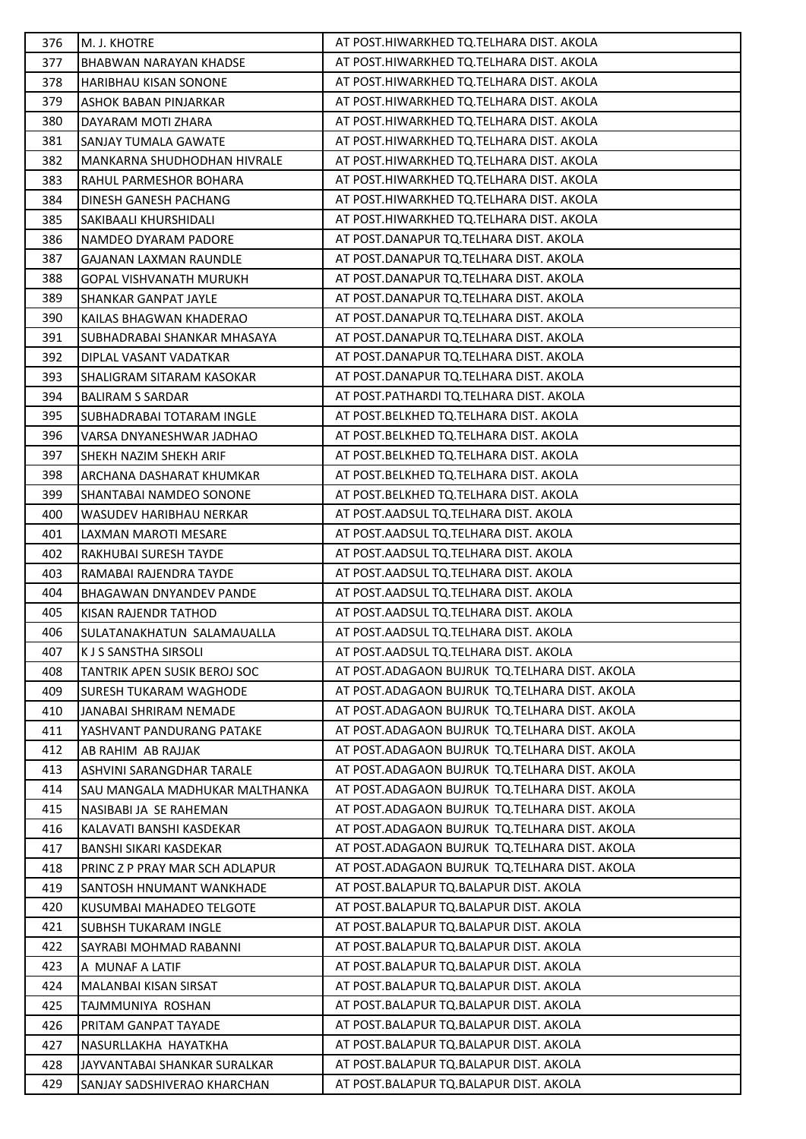| 376 | M. J. KHOTRE                     | AT POST.HIWARKHED TQ.TELHARA DIST. AKOLA        |
|-----|----------------------------------|-------------------------------------------------|
| 377 | <b>BHABWAN NARAYAN KHADSE</b>    | AT POST.HIWARKHED TQ.TELHARA DIST. AKOLA        |
| 378 | HARIBHAU KISAN SONONE            | AT POST.HIWARKHED TQ.TELHARA DIST. AKOLA        |
| 379 | ASHOK BABAN PINJARKAR            | AT POST.HIWARKHED TQ.TELHARA DIST. AKOLA        |
| 380 | DAYARAM MOTI ZHARA               | AT POST.HIWARKHED TQ.TELHARA DIST. AKOLA        |
| 381 | SANJAY TUMALA GAWATE             | AT POST.HIWARKHED TQ.TELHARA DIST. AKOLA        |
| 382 | MANKARNA SHUDHODHAN HIVRALE      | AT POST.HIWARKHED TQ.TELHARA DIST. AKOLA        |
| 383 | RAHUL PARMESHOR BOHARA           | AT POST.HIWARKHED TQ.TELHARA DIST. AKOLA        |
| 384 | DINESH GANESH PACHANG            | AT POST.HIWARKHED TQ.TELHARA DIST. AKOLA        |
| 385 | SAKIBAALI KHURSHIDALI            | AT POST.HIWARKHED TQ.TELHARA DIST. AKOLA        |
| 386 | NAMDEO DYARAM PADORE             | AT POST.DANAPUR TQ.TELHARA DIST. AKOLA          |
| 387 | GAJANAN LAXMAN RAUNDLE           | AT POST.DANAPUR TQ.TELHARA DIST. AKOLA          |
| 388 | <b>GOPAL VISHVANATH MURUKH</b>   | AT POST.DANAPUR TQ.TELHARA DIST. AKOLA          |
| 389 | SHANKAR GANPAT JAYLE             | AT POST.DANAPUR TQ.TELHARA DIST. AKOLA          |
| 390 | KAILAS BHAGWAN KHADERAO          | AT POST.DANAPUR TQ.TELHARA DIST. AKOLA          |
| 391 | SUBHADRABAI SHANKAR MHASAYA      | AT POST.DANAPUR TQ.TELHARA DIST. AKOLA          |
| 392 | DIPLAL VASANT VADATKAR           | AT POST.DANAPUR TQ.TELHARA DIST. AKOLA          |
| 393 | SHALIGRAM SITARAM KASOKAR        | AT POST.DANAPUR TQ.TELHARA DIST. AKOLA          |
| 394 | <b>BALIRAM S SARDAR</b>          | AT POST.PATHARDI TQ.TELHARA DIST. AKOLA         |
| 395 | SUBHADRABAI TOTARAM INGLE        | AT POST.BELKHED TQ.TELHARA DIST. AKOLA          |
| 396 | VARSA DNYANESHWAR JADHAO         | AT POST.BELKHED TQ.TELHARA DIST. AKOLA          |
| 397 | SHEKH NAZIM SHEKH ARIF           | AT POST.BELKHED TQ.TELHARA DIST. AKOLA          |
| 398 | ARCHANA DASHARAT KHUMKAR         | AT POST.BELKHED TQ.TELHARA DIST. AKOLA          |
| 399 | SHANTABAI NAMDEO SONONE          | AT POST.BELKHED TQ.TELHARA DIST. AKOLA          |
| 400 | WASUDEV HARIBHAU NERKAR          | AT POST.AADSUL TQ.TELHARA DIST. AKOLA           |
| 401 | LAXMAN MAROTI MESARE             | AT POST.AADSUL TQ.TELHARA DIST. AKOLA           |
| 402 | RAKHUBAI SURESH TAYDE            | AT POST.AADSUL TQ.TELHARA DIST. AKOLA           |
| 403 | RAMABAI RAJENDRA TAYDE           | AT POST.AADSUL TQ.TELHARA DIST. AKOLA           |
| 404 | BHAGAWAN DNYANDEV PANDE          | AT POST.AADSUL TQ.TELHARA DIST. AKOLA           |
| 405 | KISAN RAJENDR TATHOD             | AT POST.AADSUL TQ.TELHARA DIST. AKOLA           |
| 406 | SULATANAKHATUN SALAMAUALLA       | AT POST.AADSUL TQ.TELHARA DIST. AKOLA           |
| 407 | <b>KJS SANSTHA SIRSOLI</b>       | AT POST.AADSUL TQ.TELHARA DIST. AKOLA           |
| 408 | TANTRIK APEN SUSIK BEROJ SOC     | AT POST.ADAGAON BUJRUK TQ.TELHARA DIST. AKOLA   |
| 409 | SURESH TUKARAM WAGHODE           | AT POST. ADAGAON BUJRUK TO. TELHARA DIST. AKOLA |
| 410 | JANABAI SHRIRAM NEMADE           | AT POST.ADAGAON BUJRUK TQ.TELHARA DIST. AKOLA   |
| 411 | YASHVANT PANDURANG PATAKE        | AT POST.ADAGAON BUJRUK TQ.TELHARA DIST. AKOLA   |
| 412 | AB RAHIM AB RAJJAK               | AT POST.ADAGAON BUJRUK TQ.TELHARA DIST. AKOLA   |
| 413 | <b>ASHVINI SARANGDHAR TARALE</b> | AT POST.ADAGAON BUJRUK TQ.TELHARA DIST. AKOLA   |
| 414 | SAU MANGALA MADHUKAR MALTHANKA   | AT POST.ADAGAON BUJRUK TQ.TELHARA DIST. AKOLA   |
| 415 | NASIBABI JA SE RAHEMAN           | AT POST. ADAGAON BUJRUK TO. TELHARA DIST. AKOLA |
| 416 | KALAVATI BANSHI KASDEKAR         | AT POST. ADAGAON BUJRUK TO. TELHARA DIST. AKOLA |
| 417 | BANSHI SIKARI KASDEKAR           | AT POST.ADAGAON BUJRUK TQ.TELHARA DIST. AKOLA   |
| 418 | PRINC Z P PRAY MAR SCH ADLAPUR   | AT POST.ADAGAON BUJRUK TQ.TELHARA DIST. AKOLA   |
| 419 | SANTOSH HNUMANT WANKHADE         | AT POST. BALAPUR TO. BALAPUR DIST. AKOLA        |
| 420 | KUSUMBAI MAHADEO TELGOTE         | AT POST. BALAPUR TO. BALAPUR DIST. AKOLA        |
| 421 | <b>SUBHSH TUKARAM INGLE</b>      | AT POST. BALAPUR TO. BALAPUR DIST. AKOLA        |
| 422 | SAYRABI MOHMAD RABANNI           | AT POST.BALAPUR TQ.BALAPUR DIST. AKOLA          |
| 423 | A MUNAF A LATIF                  | AT POST.BALAPUR TQ.BALAPUR DIST. AKOLA          |
| 424 | MALANBAI KISAN SIRSAT            | AT POST.BALAPUR TQ.BALAPUR DIST. AKOLA          |
| 425 | TAJMMUNIYA ROSHAN                | AT POST. BALAPUR TO. BALAPUR DIST. AKOLA        |
| 426 | PRITAM GANPAT TAYADE             | AT POST.BALAPUR TQ.BALAPUR DIST. AKOLA          |
| 427 | NASURLLAKHA HAYATKHA             | AT POST.BALAPUR TQ.BALAPUR DIST. AKOLA          |
| 428 | JAYVANTABAI SHANKAR SURALKAR     | AT POST. BALAPUR TO. BALAPUR DIST. AKOLA        |
| 429 | SANJAY SADSHIVERAO KHARCHAN      | AT POST.BALAPUR TQ.BALAPUR DIST. AKOLA          |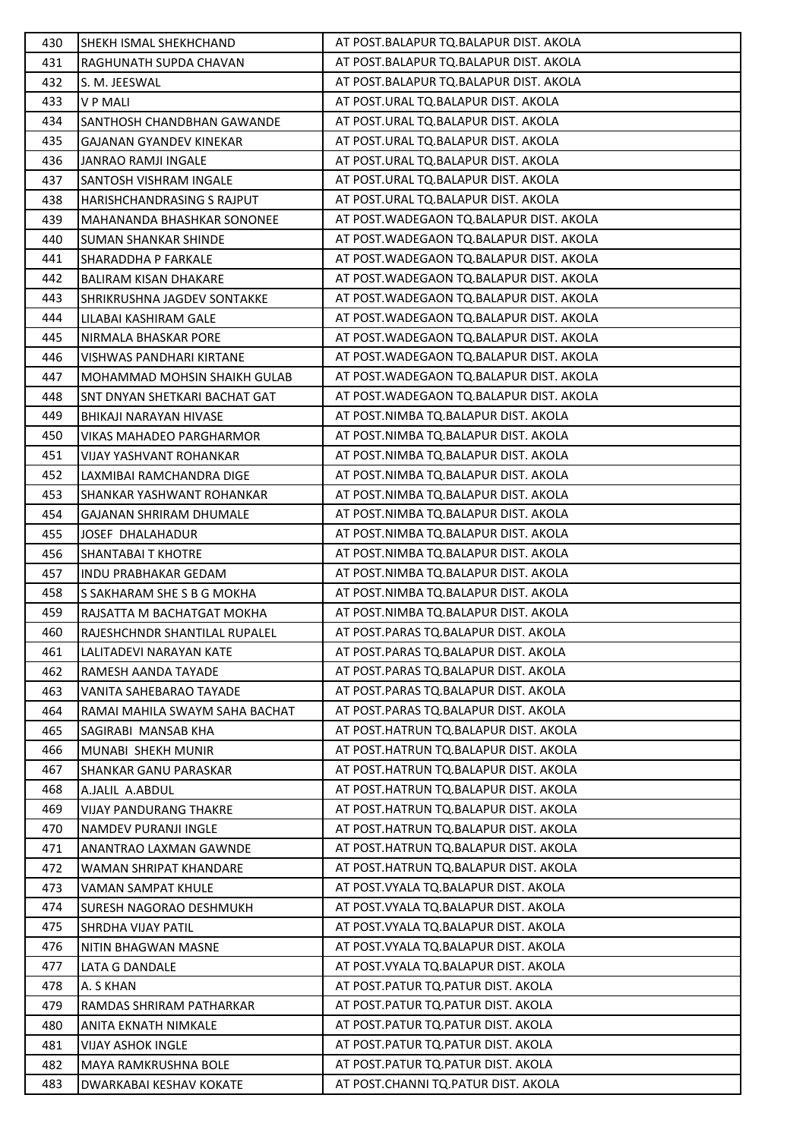| 430 | SHEKH ISMAL SHEKHCHAND               | AT POST.BALAPUR TQ.BALAPUR DIST. AKOLA    |
|-----|--------------------------------------|-------------------------------------------|
| 431 | RAGHUNATH SUPDA CHAVAN               | AT POST.BALAPUR TQ.BALAPUR DIST. AKOLA    |
| 432 | S. M. JEESWAL                        | AT POST.BALAPUR TQ.BALAPUR DIST. AKOLA    |
| 433 | <b>VPMALI</b>                        | AT POST.URAL TQ.BALAPUR DIST. AKOLA       |
| 434 | <b>SANTHOSH CHANDBHAN GAWANDE</b>    | AT POST.URAL TQ.BALAPUR DIST. AKOLA       |
| 435 | GAJANAN GYANDEV KINEKAR              | AT POST.URAL TQ.BALAPUR DIST. AKOLA       |
| 436 | <b>JANRAO RAMJI INGALE</b>           | AT POST.URAL TQ.BALAPUR DIST. AKOLA       |
| 437 | SANTOSH VISHRAM INGALE               | AT POST.URAL TO.BALAPUR DIST. AKOLA       |
| 438 | <b>HARISHCHANDRASING S RAJPUT</b>    | AT POST.URAL TQ.BALAPUR DIST. AKOLA       |
| 439 | MAHANANDA BHASHKAR SONONEE           | AT POST. WADEGAON TO. BALAPUR DIST. AKOLA |
| 440 | <b>SUMAN SHANKAR SHINDE</b>          | AT POST. WADEGAON TQ. BALAPUR DIST. AKOLA |
| 441 | SHARADDHA P FARKALE                  | AT POST. WADEGAON TQ. BALAPUR DIST. AKOLA |
| 442 | <b>BALIRAM KISAN DHAKARE</b>         | AT POST. WADEGAON TO. BALAPUR DIST. AKOLA |
| 443 | SHRIKRUSHNA JAGDEV SONTAKKE          | AT POST. WADEGAON TO. BALAPUR DIST. AKOLA |
| 444 | LILABAI KASHIRAM GALE                | AT POST. WADEGAON TQ. BALAPUR DIST. AKOLA |
| 445 | NIRMALA BHASKAR PORE                 | AT POST. WADEGAON TQ. BALAPUR DIST. AKOLA |
| 446 | <b>VISHWAS PANDHARI KIRTANE</b>      | AT POST. WADEGAON TO. BALAPUR DIST. AKOLA |
| 447 | MOHAMMAD MOHSIN SHAIKH GULAB         | AT POST. WADEGAON TQ. BALAPUR DIST. AKOLA |
| 448 | <b>SNT DNYAN SHETKARI BACHAT GAT</b> | AT POST. WADEGAON TO. BALAPUR DIST. AKOLA |
| 449 | <b>BHIKAJI NARAYAN HIVASE</b>        | AT POST.NIMBA TQ.BALAPUR DIST. AKOLA      |
| 450 | VIKAS MAHADEO PARGHARMOR             | AT POST.NIMBA TQ.BALAPUR DIST. AKOLA      |
| 451 | VIJAY YASHVANT ROHANKAR              | AT POST.NIMBA TQ.BALAPUR DIST. AKOLA      |
| 452 | LAXMIBAI RAMCHANDRA DIGE             | AT POST.NIMBA TQ.BALAPUR DIST. AKOLA      |
| 453 | SHANKAR YASHWANT ROHANKAR            | AT POST.NIMBA TQ.BALAPUR DIST. AKOLA      |
| 454 | <b>GAJANAN SHRIRAM DHUMALE</b>       | AT POST.NIMBA TQ.BALAPUR DIST. AKOLA      |
| 455 | JOSEF DHALAHADUR                     | AT POST.NIMBA TQ.BALAPUR DIST. AKOLA      |
| 456 | <b>SHANTABAI T KHOTRE</b>            | AT POST.NIMBA TQ.BALAPUR DIST. AKOLA      |
| 457 | INDU PRABHAKAR GEDAM                 | AT POST.NIMBA TQ.BALAPUR DIST. AKOLA      |
| 458 | S SAKHARAM SHE S B G MOKHA           | AT POST.NIMBA TQ.BALAPUR DIST. AKOLA      |
| 459 | RAJSATTA M BACHATGAT MOKHA           | AT POST.NIMBA TQ.BALAPUR DIST. AKOLA      |
| 460 | RAJESHCHNDR SHANTILAL RUPALEL        | AT POST.PARAS TQ.BALAPUR DIST. AKOLA      |
| 461 | LALITADEVI NARAYAN KATE              | AT POST.PARAS TQ.BALAPUR DIST. AKOLA      |
| 462 | RAMESH AANDA TAYADE                  | AT POST.PARAS TO.BALAPUR DIST. AKOLA      |
| 463 | VANITA SAHEBARAO TAYADE              | AT POST. PARAS TO. BALAPUR DIST. AKOLA    |
| 464 | RAMAI MAHILA SWAYM SAHA BACHAT       | AT POST. PARAS TO. BALAPUR DIST. AKOLA    |
| 465 | SAGIRABI MANSAB KHA                  | AT POST.HATRUN TQ.BALAPUR DIST. AKOLA     |
| 466 | MUNABI SHEKH MUNIR                   | AT POST.HATRUN TQ.BALAPUR DIST. AKOLA     |
| 467 | SHANKAR GANU PARASKAR                | AT POST.HATRUN TQ.BALAPUR DIST. AKOLA     |
| 468 | A.JALIL A.ABDUL                      | AT POST.HATRUN TO.BALAPUR DIST. AKOLA     |
| 469 | <b>VIJAY PANDURANG THAKRE</b>        | AT POST.HATRUN TQ.BALAPUR DIST. AKOLA     |
| 470 | NAMDEV PURANJI INGLE                 | AT POST.HATRUN TQ.BALAPUR DIST. AKOLA     |
| 471 | ANANTRAO LAXMAN GAWNDE               | AT POST.HATRUN TQ.BALAPUR DIST. AKOLA     |
| 472 | WAMAN SHRIPAT KHANDARE               | AT POST.HATRUN TQ.BALAPUR DIST. AKOLA     |
| 473 | VAMAN SAMPAT KHULE                   | AT POST. VYALA TQ. BALAPUR DIST. AKOLA    |
| 474 | <b>SURESH NAGORAO DESHMUKH</b>       | AT POST. VYALA TQ. BALAPUR DIST. AKOLA    |
| 475 | <b>SHRDHA VIJAY PATIL</b>            | AT POST. VYALA TO. BALAPUR DIST. AKOLA    |
| 476 | NITIN BHAGWAN MASNE                  | AT POST. VYALA TQ. BALAPUR DIST. AKOLA    |
| 477 | LATA G DANDALE                       | AT POST. VYALA TQ. BALAPUR DIST. AKOLA    |
| 478 | A. S KHAN                            | AT POST.PATUR TQ.PATUR DIST. AKOLA        |
| 479 | RAMDAS SHRIRAM PATHARKAR             | AT POST.PATUR TQ.PATUR DIST. AKOLA        |
| 480 | ANITA EKNATH NIMKALE                 | AT POST.PATUR TQ.PATUR DIST. AKOLA        |
| 481 | <b>VIJAY ASHOK INGLE</b>             | AT POST.PATUR TQ.PATUR DIST. AKOLA        |
| 482 | <b>MAYA RAMKRUSHNA BOLE</b>          | AT POST.PATUR TQ.PATUR DIST. AKOLA        |
| 483 | DWARKABAI KESHAV KOKATE              | AT POST.CHANNI TQ.PATUR DIST. AKOLA       |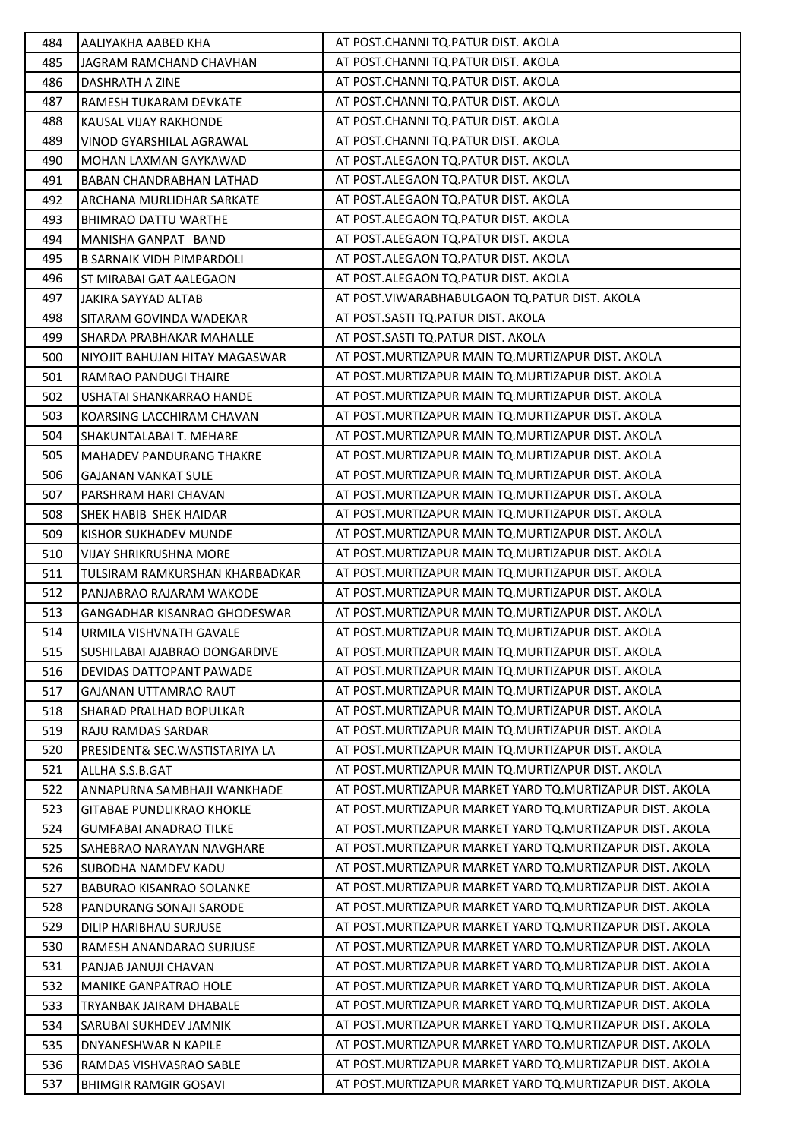| 484 | AALIYAKHA AABED KHA              | AT POST.CHANNI TQ.PATUR DIST. AKOLA                        |
|-----|----------------------------------|------------------------------------------------------------|
| 485 | JAGRAM RAMCHAND CHAVHAN          | AT POST.CHANNI TQ.PATUR DIST. AKOLA                        |
| 486 | DASHRATH A ZINE                  | AT POST.CHANNI TQ.PATUR DIST. AKOLA                        |
| 487 | RAMESH TUKARAM DEVKATE           | AT POST.CHANNI TQ.PATUR DIST. AKOLA                        |
| 488 | KAUSAL VIJAY RAKHONDE            | AT POST.CHANNI TQ.PATUR DIST. AKOLA                        |
| 489 | VINOD GYARSHILAL AGRAWAL         | AT POST.CHANNI TQ.PATUR DIST. AKOLA                        |
| 490 | MOHAN LAXMAN GAYKAWAD            | AT POST.ALEGAON TQ.PATUR DIST. AKOLA                       |
| 491 | <b>BABAN CHANDRABHAN LATHAD</b>  | AT POST.ALEGAON TO.PATUR DIST. AKOLA                       |
| 492 | ARCHANA MURLIDHAR SARKATE        | AT POST.ALEGAON TQ.PATUR DIST. AKOLA                       |
| 493 | BHIMRAO DATTU WARTHE             | AT POST.ALEGAON TO.PATUR DIST. AKOLA                       |
| 494 | MANISHA GANPAT BAND              | AT POST.ALEGAON TQ.PATUR DIST. AKOLA                       |
| 495 | <b>B SARNAIK VIDH PIMPARDOLI</b> | AT POST.ALEGAON TQ.PATUR DIST. AKOLA                       |
| 496 | ST MIRABAI GAT AALEGAON          | AT POST.ALEGAON TQ.PATUR DIST. AKOLA                       |
| 497 | JAKIRA SAYYAD ALTAB              | AT POST. VIWARABHABULGAON TQ. PATUR DIST. AKOLA            |
| 498 | SITARAM GOVINDA WADEKAR          | AT POST.SASTI TQ.PATUR DIST. AKOLA                         |
| 499 | SHARDA PRABHAKAR MAHALLE         | AT POST.SASTI TQ.PATUR DIST. AKOLA                         |
| 500 | NIYOJIT BAHUJAN HITAY MAGASWAR   | AT POST. MURTIZAPUR MAIN TQ. MURTIZAPUR DIST. AKOLA        |
| 501 | RAMRAO PANDUGI THAIRE            | AT POST.MURTIZAPUR MAIN TQ.MURTIZAPUR DIST. AKOLA          |
| 502 | USHATAI SHANKARRAO HANDE         | AT POST. MURTIZAPUR MAIN TO. MURTIZAPUR DIST. AKOLA        |
| 503 | KOARSING LACCHIRAM CHAVAN        | AT POST. MURTIZAPUR MAIN TQ. MURTIZAPUR DIST. AKOLA        |
| 504 | SHAKUNTALABAI T. MEHARE          | AT POST. MURTIZAPUR MAIN TQ. MURTIZAPUR DIST. AKOLA        |
| 505 | <b>MAHADEV PANDURANG THAKRE</b>  | AT POST. MURTIZAPUR MAIN TQ. MURTIZAPUR DIST. AKOLA        |
| 506 | <b>GAJANAN VANKAT SULE</b>       | AT POST.MURTIZAPUR MAIN TQ.MURTIZAPUR DIST. AKOLA          |
| 507 | PARSHRAM HARI CHAVAN             | AT POST. MURTIZAPUR MAIN TQ. MURTIZAPUR DIST. AKOLA        |
| 508 | SHEK HABIB SHEK HAIDAR           | AT POST. MURTIZAPUR MAIN TQ. MURTIZAPUR DIST. AKOLA        |
| 509 | KISHOR SUKHADEV MUNDE            | AT POST. MURTIZAPUR MAIN TO. MURTIZAPUR DIST. AKOLA        |
| 510 | <b>VIJAY SHRIKRUSHNA MORE</b>    | AT POST. MURTIZAPUR MAIN TO. MURTIZAPUR DIST. AKOLA        |
| 511 | TULSIRAM RAMKURSHAN KHARBADKAR   | AT POST. MURTIZAPUR MAIN TO. MURTIZAPUR DIST. AKOLA        |
| 512 | PANJABRAO RAJARAM WAKODE         | AT POST. MURTIZAPUR MAIN TQ. MURTIZAPUR DIST. AKOLA        |
| 513 | GANGADHAR KISANRAO GHODESWAR     | AT POST.MURTIZAPUR MAIN TQ.MURTIZAPUR DIST. AKOLA          |
| 514 | URMILA VISHVNATH GAVALE          | AT POST. MURTIZAPUR MAIN TO. MURTIZAPUR DIST. AKOLA        |
| 515 | SUSHILABAI AJABRAO DONGARDIVE    | AT POST. MURTIZAPUR MAIN TO. MURTIZAPUR DIST. AKOLA        |
| 516 | DEVIDAS DATTOPANT PAWADE         | AT POST. MURTIZAPUR MAIN TO. MURTIZAPUR DIST. AKOLA        |
| 517 | <b>GAJANAN UTTAMRAO RAUT</b>     | AT POST. MURTIZAPUR MAIN TO. MURTIZAPUR DIST. AKOLA        |
| 518 | <b>SHARAD PRALHAD BOPULKAR</b>   | AT POST. MURTIZAPUR MAIN TO. MURTIZAPUR DIST. AKOLA        |
| 519 | RAJU RAMDAS SARDAR               | AT POST. MURTIZAPUR MAIN TO. MURTIZAPUR DIST. AKOLA        |
| 520 | PRESIDENT& SEC.WASTISTARIYA LA   | AT POST. MURTIZAPUR MAIN TO. MURTIZAPUR DIST. AKOLA        |
| 521 | ALLHA S.S.B.GAT                  | AT POST. MURTIZAPUR MAIN TO. MURTIZAPUR DIST. AKOLA        |
| 522 | ANNAPURNA SAMBHAJI WANKHADE      | AT POST. MURTIZAPUR MARKET YARD TO. MURTIZAPUR DIST. AKOLA |
| 523 | <b>GITABAE PUNDLIKRAO KHOKLE</b> | AT POST.MURTIZAPUR MARKET YARD TO.MURTIZAPUR DIST. AKOLA   |
| 524 | <b>GUMFABAI ANADRAO TILKE</b>    | AT POST.MURTIZAPUR MARKET YARD TO.MURTIZAPUR DIST. AKOLA   |
| 525 | <b>SAHEBRAO NARAYAN NAVGHARE</b> | AT POST. MURTIZAPUR MARKET YARD TO. MURTIZAPUR DIST. AKOLA |
| 526 | SUBODHA NAMDEV KADU              | AT POST. MURTIZAPUR MARKET YARD TO. MURTIZAPUR DIST. AKOLA |
| 527 | <b>BABURAO KISANRAO SOLANKE</b>  | AT POST.MURTIZAPUR MARKET YARD TO.MURTIZAPUR DIST. AKOLA   |
| 528 | PANDURANG SONAJI SARODE          | AT POST.MURTIZAPUR MARKET YARD TO.MURTIZAPUR DIST. AKOLA   |
| 529 | DILIP HARIBHAU SURJUSE           | AT POST.MURTIZAPUR MARKET YARD TO.MURTIZAPUR DIST. AKOLA   |
| 530 | RAMESH ANANDARAO SURJUSE         | AT POST. MURTIZAPUR MARKET YARD TO. MURTIZAPUR DIST. AKOLA |
| 531 | PANJAB JANUJI CHAVAN             | AT POST. MURTIZAPUR MARKET YARD TO. MURTIZAPUR DIST. AKOLA |
| 532 | <b>MANIKE GANPATRAO HOLE</b>     | AT POST. MURTIZAPUR MARKET YARD TO. MURTIZAPUR DIST. AKOLA |
| 533 | TRYANBAK JAIRAM DHABALE          | AT POST.MURTIZAPUR MARKET YARD TO.MURTIZAPUR DIST. AKOLA   |
| 534 | SARUBAI SUKHDEV JAMNIK           | AT POST. MURTIZAPUR MARKET YARD TO. MURTIZAPUR DIST. AKOLA |
| 535 | DNYANESHWAR N KAPILE             | AT POST. MURTIZAPUR MARKET YARD TO. MURTIZAPUR DIST. AKOLA |
| 536 | RAMDAS VISHVASRAO SABLE          | AT POST.MURTIZAPUR MARKET YARD TO.MURTIZAPUR DIST. AKOLA   |
| 537 | <b>BHIMGIR RAMGIR GOSAVI</b>     | AT POST. MURTIZAPUR MARKET YARD TO. MURTIZAPUR DIST. AKOLA |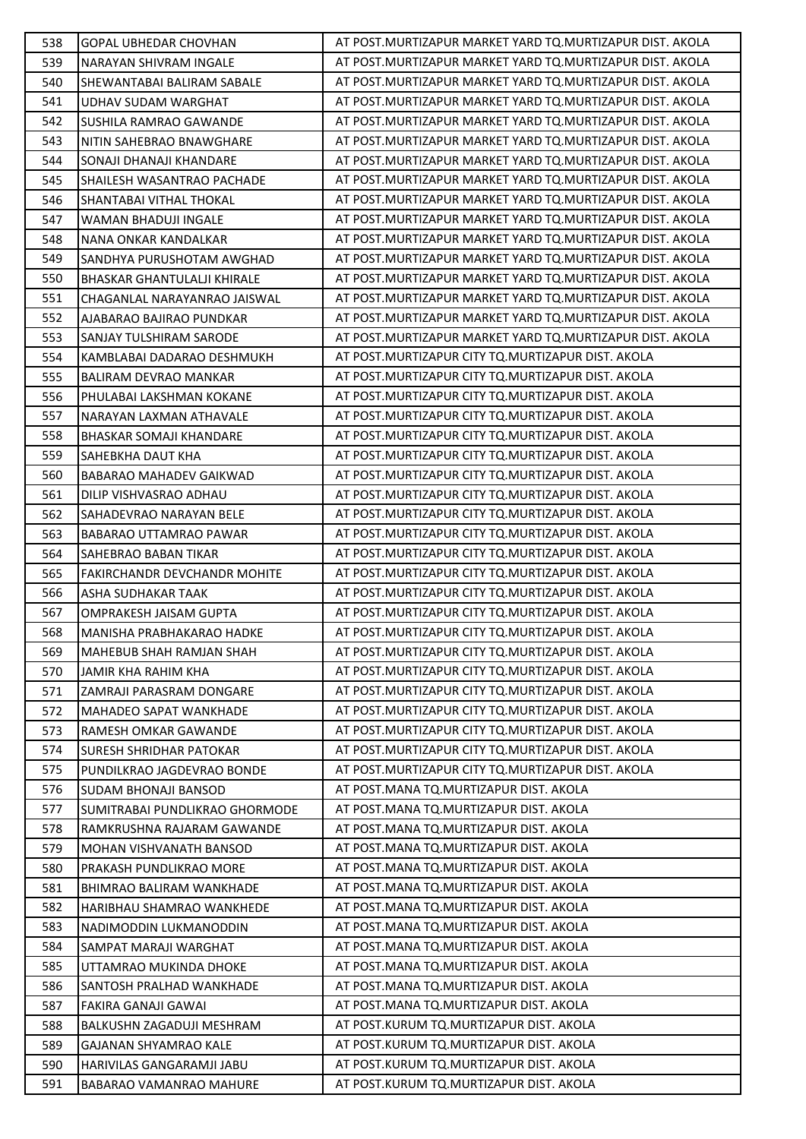| 538 | <b>GOPAL UBHEDAR CHOVHAN</b>       | AT POST.MURTIZAPUR MARKET YARD TO.MURTIZAPUR DIST. AKOLA   |
|-----|------------------------------------|------------------------------------------------------------|
| 539 | NARAYAN SHIVRAM INGALE             | AT POST. MURTIZAPUR MARKET YARD TQ. MURTIZAPUR DIST. AKOLA |
| 540 | SHEWANTABAI BALIRAM SABALE         | AT POST.MURTIZAPUR MARKET YARD TQ.MURTIZAPUR DIST. AKOLA   |
| 541 | UDHAV SUDAM WARGHAT                | AT POST. MURTIZAPUR MARKET YARD TO. MURTIZAPUR DIST. AKOLA |
| 542 | SUSHILA RAMRAO GAWANDE             | AT POST.MURTIZAPUR MARKET YARD TO.MURTIZAPUR DIST. AKOLA   |
| 543 | NITIN SAHEBRAO BNAWGHARE           | AT POST.MURTIZAPUR MARKET YARD TO.MURTIZAPUR DIST. AKOLA   |
| 544 | SONAJI DHANAJI KHANDARE            | AT POST. MURTIZAPUR MARKET YARD TO. MURTIZAPUR DIST. AKOLA |
| 545 | SHAILESH WASANTRAO PACHADE         | AT POST. MURTIZAPUR MARKET YARD TO. MURTIZAPUR DIST. AKOLA |
| 546 | SHANTABAI VITHAL THOKAL            | AT POST. MURTIZAPUR MARKET YARD TQ. MURTIZAPUR DIST. AKOLA |
| 547 | WAMAN BHADUJI INGALE               | AT POST.MURTIZAPUR MARKET YARD TO.MURTIZAPUR DIST. AKOLA   |
| 548 | NANA ONKAR KANDALKAR               | AT POST. MURTIZAPUR MARKET YARD TQ. MURTIZAPUR DIST. AKOLA |
| 549 | SANDHYA PURUSHOTAM AWGHAD          | AT POST.MURTIZAPUR MARKET YARD TO.MURTIZAPUR DIST. AKOLA   |
| 550 | <b>BHASKAR GHANTULALJI KHIRALE</b> | AT POST.MURTIZAPUR MARKET YARD TQ.MURTIZAPUR DIST. AKOLA   |
| 551 | CHAGANLAL NARAYANRAO JAISWAL       | AT POST. MURTIZAPUR MARKET YARD TQ. MURTIZAPUR DIST. AKOLA |
| 552 | AJABARAO BAJIRAO PUNDKAR           | AT POST.MURTIZAPUR MARKET YARD TO.MURTIZAPUR DIST. AKOLA   |
| 553 | SANJAY TULSHIRAM SARODE            | AT POST. MURTIZAPUR MARKET YARD TQ. MURTIZAPUR DIST. AKOLA |
| 554 | KAMBLABAI DADARAO DESHMUKH         | AT POST. MURTIZAPUR CITY TO. MURTIZAPUR DIST. AKOLA        |
| 555 | <b>BALIRAM DEVRAO MANKAR</b>       | AT POST. MURTIZAPUR CITY TO. MURTIZAPUR DIST. AKOLA        |
| 556 | PHULABAI LAKSHMAN KOKANE           | AT POST. MURTIZAPUR CITY TQ. MURTIZAPUR DIST. AKOLA        |
| 557 | NARAYAN LAXMAN ATHAVALE            | AT POST. MURTIZAPUR CITY TQ. MURTIZAPUR DIST. AKOLA        |
| 558 | BHASKAR SOMAJI KHANDARE            | AT POST. MURTIZAPUR CITY TQ. MURTIZAPUR DIST. AKOLA        |
| 559 | SAHEBKHA DAUT KHA                  | AT POST. MURTIZAPUR CITY TQ. MURTIZAPUR DIST. AKOLA        |
| 560 | <b>BABARAO MAHADEV GAIKWAD</b>     | AT POST. MURTIZAPUR CITY TQ. MURTIZAPUR DIST. AKOLA        |
| 561 | DILIP VISHVASRAO ADHAU             | AT POST. MURTIZAPUR CITY TQ. MURTIZAPUR DIST. AKOLA        |
| 562 | SAHADEVRAO NARAYAN BELE            | AT POST. MURTIZAPUR CITY TQ. MURTIZAPUR DIST. AKOLA        |
| 563 | <b>BABARAO UTTAMRAO PAWAR</b>      | AT POST.MURTIZAPUR CITY TQ.MURTIZAPUR DIST. AKOLA          |
| 564 | SAHEBRAO BABAN TIKAR               | AT POST. MURTIZAPUR CITY TQ. MURTIZAPUR DIST. AKOLA        |
| 565 | FAKIRCHANDR DEVCHANDR MOHITE       | AT POST. MURTIZAPUR CITY TO. MURTIZAPUR DIST. AKOLA        |
| 566 | ASHA SUDHAKAR TAAK                 | AT POST. MURTIZAPUR CITY TO. MURTIZAPUR DIST. AKOLA        |
| 567 | OMPRAKESH JAISAM GUPTA             | AT POST. MURTIZAPUR CITY TQ. MURTIZAPUR DIST. AKOLA        |
| 568 | MANISHA PRABHAKARAO HADKE          | AT POST. MURTIZAPUR CITY TQ. MURTIZAPUR DIST. AKOLA        |
| 569 | <b>MAHEBUB SHAH RAMJAN SHAH</b>    | AT POST. MURTIZAPUR CITY TO. MURTIZAPUR DIST. AKOLA        |
| 570 | JAMIR KHA RAHIM KHA                | AT POST. MURTIZAPUR CITY TO. MURTIZAPUR DIST. AKOLA        |
| 571 | ZAMRAJI PARASRAM DONGARE           | AT POST. MURTIZAPUR CITY TO. MURTIZAPUR DIST. AKOLA        |
| 572 | MAHADEO SAPAT WANKHADE             | AT POST. MURTIZAPUR CITY TO. MURTIZAPUR DIST. AKOLA        |
| 573 | RAMESH OMKAR GAWANDE               | AT POST. MURTIZAPUR CITY TO. MURTIZAPUR DIST. AKOLA        |
| 574 | <b>SURESH SHRIDHAR PATOKAR</b>     | AT POST. MURTIZAPUR CITY TO. MURTIZAPUR DIST. AKOLA        |
| 575 | PUNDILKRAO JAGDEVRAO BONDE         | AT POST. MURTIZAPUR CITY TO. MURTIZAPUR DIST. AKOLA        |
| 576 | <b>SUDAM BHONAJI BANSOD</b>        | AT POST.MANA TQ.MURTIZAPUR DIST. AKOLA                     |
| 577 | SUMITRABAI PUNDLIKRAO GHORMODE     | AT POST. MANA TQ. MURTIZAPUR DIST. AKOLA                   |
| 578 | RAMKRUSHNA RAJARAM GAWANDE         | AT POST.MANA TQ.MURTIZAPUR DIST. AKOLA                     |
| 579 | MOHAN VISHVANATH BANSOD            | AT POST.MANA TQ.MURTIZAPUR DIST. AKOLA                     |
| 580 | PRAKASH PUNDLIKRAO MORE            | AT POST.MANA TQ.MURTIZAPUR DIST. AKOLA                     |
| 581 | BHIMRAO BALIRAM WANKHADE           | AT POST.MANA TQ.MURTIZAPUR DIST. AKOLA                     |
| 582 | HARIBHAU SHAMRAO WANKHEDE          | AT POST. MANA TO. MURTIZAPUR DIST. AKOLA                   |
| 583 | NADIMODDIN LUKMANODDIN             | AT POST.MANA TQ.MURTIZAPUR DIST. AKOLA                     |
| 584 | SAMPAT MARAJI WARGHAT              | AT POST.MANA TQ.MURTIZAPUR DIST. AKOLA                     |
| 585 | UTTAMRAO MUKINDA DHOKE             | AT POST. MANA TO. MURTIZAPUR DIST. AKOLA                   |
| 586 | SANTOSH PRALHAD WANKHADE           | AT POST.MANA TQ.MURTIZAPUR DIST. AKOLA                     |
| 587 | FAKIRA GANAJI GAWAI                | AT POST.MANA TQ.MURTIZAPUR DIST. AKOLA                     |
| 588 | BALKUSHN ZAGADUJI MESHRAM          | AT POST.KURUM TQ.MURTIZAPUR DIST. AKOLA                    |
| 589 | GAJANAN SHYAMRAO KALE              | AT POST.KURUM TQ.MURTIZAPUR DIST. AKOLA                    |
| 590 | HARIVILAS GANGARAMJI JABU          | AT POST.KURUM TQ.MURTIZAPUR DIST. AKOLA                    |
| 591 | BABARAO VAMANRAO MAHURE            | AT POST.KURUM TQ.MURTIZAPUR DIST. AKOLA                    |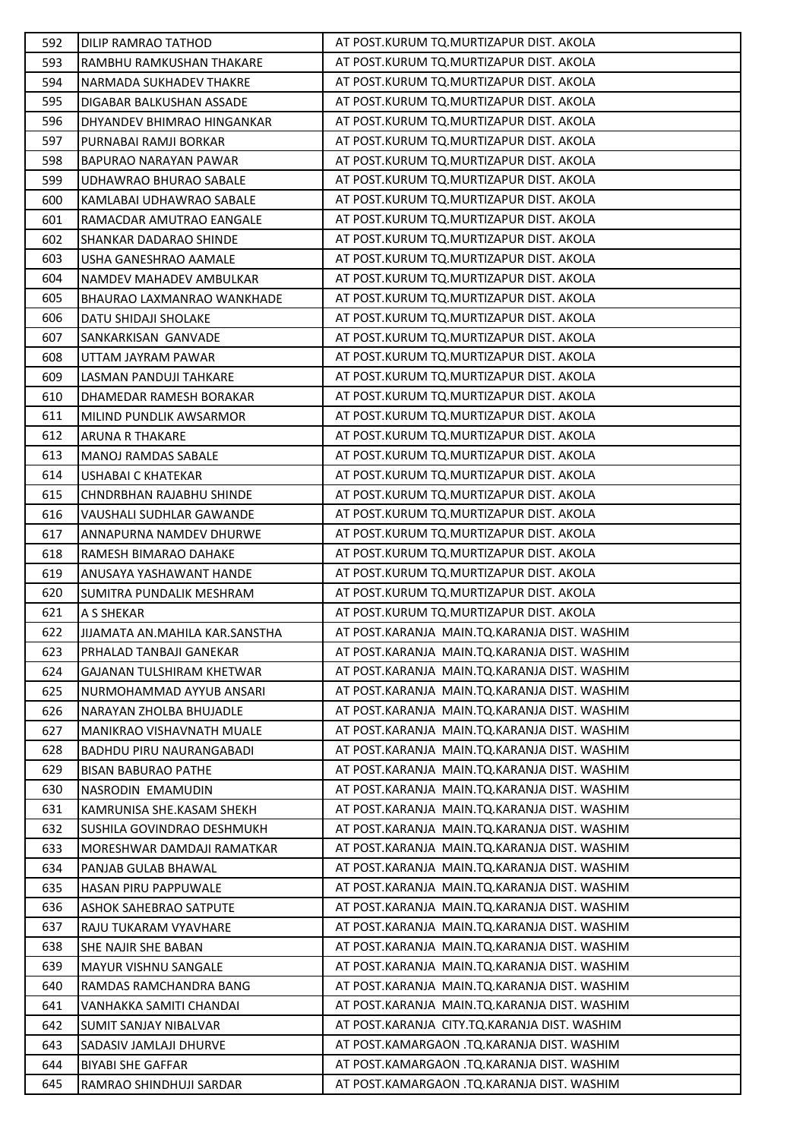| 592        | <b>DILIP RAMRAO TATHOD</b>                          | AT POST.KURUM TO.MURTIZAPUR DIST. AKOLA                                                  |
|------------|-----------------------------------------------------|------------------------------------------------------------------------------------------|
| 593        | RAMBHU RAMKUSHAN THAKARE                            | AT POST.KURUM TQ.MURTIZAPUR DIST. AKOLA                                                  |
| 594        | NARMADA SUKHADEV THAKRE                             | AT POST.KURUM TQ.MURTIZAPUR DIST. AKOLA                                                  |
| 595        | <b>DIGABAR BALKUSHAN ASSADE</b>                     | AT POST.KURUM TQ.MURTIZAPUR DIST. AKOLA                                                  |
| 596        | DHYANDEV BHIMRAO HINGANKAR                          | AT POST.KURUM TQ.MURTIZAPUR DIST. AKOLA                                                  |
| 597        | PURNABAI RAMJI BORKAR                               | AT POST.KURUM TQ.MURTIZAPUR DIST. AKOLA                                                  |
| 598        | BAPURAO NARAYAN PAWAR                               | AT POST.KURUM TQ.MURTIZAPUR DIST. AKOLA                                                  |
| 599        | UDHAWRAO BHURAO SABALE                              | AT POST.KURUM TQ.MURTIZAPUR DIST. AKOLA                                                  |
| 600        | KAMLABAI UDHAWRAO SABALE                            | AT POST.KURUM TQ.MURTIZAPUR DIST. AKOLA                                                  |
| 601        | RAMACDAR AMUTRAO EANGALE                            | AT POST.KURUM TQ.MURTIZAPUR DIST. AKOLA                                                  |
| 602        | SHANKAR DADARAO SHINDE                              | AT POST.KURUM TQ.MURTIZAPUR DIST. AKOLA                                                  |
| 603        | USHA GANESHRAO AAMALE                               | AT POST.KURUM TQ.MURTIZAPUR DIST. AKOLA                                                  |
| 604        | NAMDEV MAHADEV AMBULKAR                             | AT POST.KURUM TQ.MURTIZAPUR DIST. AKOLA                                                  |
| 605        | <b>BHAURAO LAXMANRAO WANKHADE</b>                   | AT POST.KURUM TQ.MURTIZAPUR DIST. AKOLA                                                  |
| 606        | DATU SHIDAJI SHOLAKE                                | AT POST.KURUM TQ.MURTIZAPUR DIST. AKOLA                                                  |
| 607        | SANKARKISAN GANVADE                                 | AT POST.KURUM TQ.MURTIZAPUR DIST. AKOLA                                                  |
| 608        | UTTAM JAYRAM PAWAR                                  | AT POST.KURUM TQ.MURTIZAPUR DIST. AKOLA                                                  |
| 609        | <b>LASMAN PANDUJI TAHKARE</b>                       | AT POST.KURUM TQ.MURTIZAPUR DIST. AKOLA                                                  |
| 610        | DHAMEDAR RAMESH BORAKAR                             | AT POST.KURUM TQ.MURTIZAPUR DIST. AKOLA                                                  |
| 611        | MILIND PUNDLIK AWSARMOR                             | AT POST.KURUM TQ.MURTIZAPUR DIST. AKOLA                                                  |
| 612        | <b>ARUNA R THAKARE</b>                              | AT POST.KURUM TQ.MURTIZAPUR DIST. AKOLA                                                  |
| 613        | <b>MANOJ RAMDAS SABALE</b>                          | AT POST.KURUM TQ.MURTIZAPUR DIST. AKOLA                                                  |
| 614        | <b>USHABAI C KHATEKAR</b>                           | AT POST.KURUM TQ.MURTIZAPUR DIST. AKOLA                                                  |
| 615        | CHNDRBHAN RAJABHU SHINDE                            | AT POST.KURUM TQ.MURTIZAPUR DIST. AKOLA                                                  |
| 616        | VAUSHALI SUDHLAR GAWANDE                            | AT POST.KURUM TQ.MURTIZAPUR DIST. AKOLA                                                  |
| 617        | ANNAPURNA NAMDEV DHURWE                             | AT POST.KURUM TQ.MURTIZAPUR DIST. AKOLA                                                  |
| 618        | RAMESH BIMARAO DAHAKE                               | AT POST.KURUM TQ.MURTIZAPUR DIST. AKOLA                                                  |
|            |                                                     |                                                                                          |
| 619        | ANUSAYA YASHAWANT HANDE                             | AT POST.KURUM TQ.MURTIZAPUR DIST. AKOLA                                                  |
| 620        | SUMITRA PUNDALIK MESHRAM                            | AT POST.KURUM TQ.MURTIZAPUR DIST. AKOLA                                                  |
| 621        | A S SHEKAR                                          | AT POST.KURUM TQ.MURTIZAPUR DIST. AKOLA                                                  |
| 622        | JIJAMATA AN.MAHILA KAR.SANSTHA                      | AT POST.KARANJA MAIN.TQ.KARANJA DIST. WASHIM                                             |
| 623        | PRHALAD TANBAJI GANEKAR                             | AT POST.KARANJA MAIN.TQ.KARANJA DIST. WASHIM                                             |
| 624        | <b>GAJANAN TULSHIRAM KHETWAR</b>                    | AT POST.KARANJA MAIN.TQ.KARANJA DIST. WASHIM                                             |
| 625        | NURMOHAMMAD AYYUB ANSARI                            | AT POST.KARANJA MAIN.TQ.KARANJA DIST. WASHIM                                             |
| 626        | NARAYAN ZHOLBA BHUJADLE                             | AT POST.KARANJA MAIN.TQ.KARANJA DIST. WASHIM                                             |
| 627        | <b>MANIKRAO VISHAVNATH MUALE</b>                    | AT POST.KARANJA MAIN.TQ.KARANJA DIST. WASHIM                                             |
| 628        | <b>BADHDU PIRU NAURANGABADI</b>                     | AT POST.KARANJA MAIN.TQ.KARANJA DIST. WASHIM                                             |
| 629        | <b>BISAN BABURAO PATHE</b>                          | AT POST.KARANJA MAIN.TQ.KARANJA DIST. WASHIM                                             |
| 630        | NASRODIN EMAMUDIN                                   | AT POST.KARANJA MAIN.TQ.KARANJA DIST. WASHIM                                             |
| 631        | KAMRUNISA SHE.KASAM SHEKH                           | AT POST.KARANJA MAIN.TQ.KARANJA DIST. WASHIM                                             |
| 632        | SUSHILA GOVINDRAO DESHMUKH                          | AT POST.KARANJA MAIN.TQ.KARANJA DIST. WASHIM                                             |
| 633        | MORESHWAR DAMDAJI RAMATKAR                          | AT POST.KARANJA MAIN.TQ.KARANJA DIST. WASHIM                                             |
| 634        | PANJAB GULAB BHAWAL                                 | AT POST.KARANJA MAIN.TQ.KARANJA DIST. WASHIM                                             |
| 635        | <b>HASAN PIRU PAPPUWALE</b>                         | AT POST.KARANJA MAIN.TQ.KARANJA DIST. WASHIM                                             |
| 636        | <b>ASHOK SAHEBRAO SATPUTE</b>                       | AT POST.KARANJA MAIN.TQ.KARANJA DIST. WASHIM                                             |
| 637        | RAJU TUKARAM VYAVHARE                               | AT POST.KARANJA MAIN.TQ.KARANJA DIST. WASHIM                                             |
| 638        | SHE NAJIR SHE BABAN                                 | AT POST.KARANJA MAIN.TQ.KARANJA DIST. WASHIM                                             |
| 639        | MAYUR VISHNU SANGALE                                | AT POST.KARANJA MAIN.TQ.KARANJA DIST. WASHIM                                             |
| 640        | RAMDAS RAMCHANDRA BANG                              | AT POST.KARANJA MAIN.TQ.KARANJA DIST. WASHIM                                             |
| 641        | VANHAKKA SAMITI CHANDAI                             | AT POST.KARANJA MAIN.TQ.KARANJA DIST. WASHIM                                             |
| 642        | SUMIT SANJAY NIBALVAR                               | AT POST.KARANJA CITY.TQ.KARANJA DIST. WASHIM                                             |
| 643        | SADASIV JAMLAJI DHURVE                              | AT POST.KAMARGAON .TQ.KARANJA DIST. WASHIM                                               |
| 644<br>645 | <b>BIYABI SHE GAFFAR</b><br>RAMRAO SHINDHUJI SARDAR | AT POST.KAMARGAON .TQ.KARANJA DIST. WASHIM<br>AT POST.KAMARGAON .TQ.KARANJA DIST. WASHIM |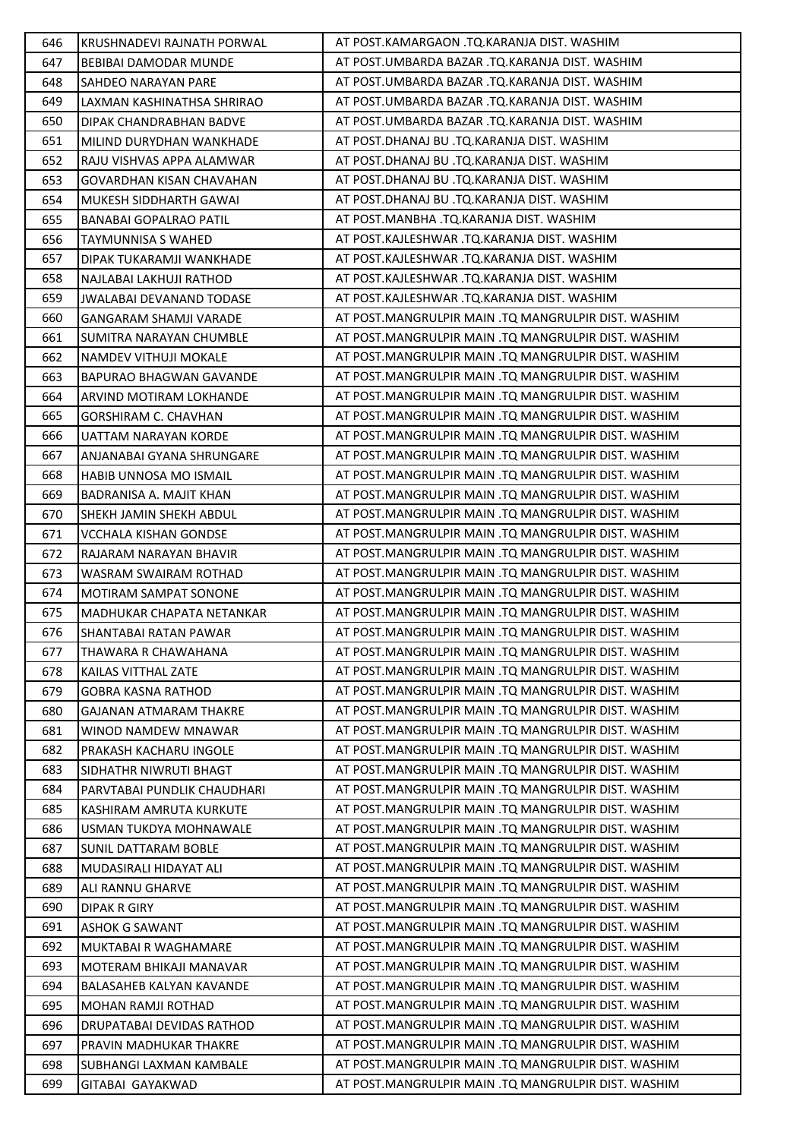| 646 | KRUSHNADEVI RAJNATH PORWAL       | AT POST.KAMARGAON .TQ.KARANJA DIST. WASHIM          |
|-----|----------------------------------|-----------------------------------------------------|
| 647 | <b>BEBIBAI DAMODAR MUNDE</b>     | AT POST.UMBARDA BAZAR .TQ.KARANJA DIST. WASHIM      |
| 648 | SAHDEO NARAYAN PARE              | AT POST.UMBARDA BAZAR .TQ.KARANJA DIST. WASHIM      |
| 649 | LAXMAN KASHINATHSA SHRIRAO       | AT POST.UMBARDA BAZAR .TQ.KARANJA DIST. WASHIM      |
| 650 | DIPAK CHANDRABHAN BADVE          | AT POST.UMBARDA BAZAR .TQ.KARANJA DIST. WASHIM      |
| 651 | MILIND DURYDHAN WANKHADE         | AT POST.DHANAJ BU .TQ.KARANJA DIST. WASHIM          |
| 652 | RAJU VISHVAS APPA ALAMWAR        | AT POST.DHANAJ BU .TQ.KARANJA DIST. WASHIM          |
| 653 | <b>GOVARDHAN KISAN CHAVAHAN</b>  | AT POST.DHANAJ BU .TQ.KARANJA DIST. WASHIM          |
| 654 | MUKESH SIDDHARTH GAWAI           | AT POST.DHANAJ BU .TQ.KARANJA DIST. WASHIM          |
| 655 | <b>BANABAI GOPALRAO PATIL</b>    | AT POST.MANBHA .TQ.KARANJA DIST. WASHIM             |
| 656 | <b>TAYMUNNISA S WAHED</b>        | AT POST.KAJLESHWAR .TQ.KARANJA DIST. WASHIM         |
| 657 | DIPAK TUKARAMJI WANKHADE         | AT POST.KAJLESHWAR .TQ.KARANJA DIST. WASHIM         |
| 658 | NAJLABAI LAKHUJI RATHOD          | AT POST.KAJLESHWAR .TQ.KARANJA DIST. WASHIM         |
| 659 | <b>JWALABAI DEVANAND TODASE</b>  | AT POST.KAJLESHWAR .TQ.KARANJA DIST. WASHIM         |
| 660 | GANGARAM SHAMJI VARADE           | AT POST.MANGRULPIR MAIN .TQ MANGRULPIR DIST. WASHIM |
| 661 | SUMITRA NARAYAN CHUMBLE          | AT POST.MANGRULPIR MAIN .TQ MANGRULPIR DIST. WASHIM |
| 662 | NAMDEV VITHUJI MOKALE            | AT POST.MANGRULPIR MAIN .TQ MANGRULPIR DIST. WASHIM |
| 663 | <b>BAPURAO BHAGWAN GAVANDE</b>   | AT POST.MANGRULPIR MAIN .TQ MANGRULPIR DIST. WASHIM |
| 664 | ARVIND MOTIRAM LOKHANDE          | AT POST.MANGRULPIR MAIN .TO MANGRULPIR DIST. WASHIM |
| 665 | <b>GORSHIRAM C. CHAVHAN</b>      | AT POST.MANGRULPIR MAIN .TQ MANGRULPIR DIST. WASHIM |
| 666 | UATTAM NARAYAN KORDE             | AT POST.MANGRULPIR MAIN .TQ MANGRULPIR DIST. WASHIM |
| 667 | ANJANABAI GYANA SHRUNGARE        | AT POST.MANGRULPIR MAIN .TQ MANGRULPIR DIST. WASHIM |
| 668 | HABIB UNNOSA MO ISMAIL           | AT POST.MANGRULPIR MAIN .TQ MANGRULPIR DIST. WASHIM |
| 669 | BADRANISA A. MAJIT KHAN          | AT POST.MANGRULPIR MAIN .TQ MANGRULPIR DIST. WASHIM |
| 670 | SHEKH JAMIN SHEKH ABDUL          | AT POST.MANGRULPIR MAIN .TQ MANGRULPIR DIST. WASHIM |
| 671 | <b>VCCHALA KISHAN GONDSE</b>     | AT POST.MANGRULPIR MAIN .TQ MANGRULPIR DIST. WASHIM |
| 672 | RAJARAM NARAYAN BHAVIR           | AT POST.MANGRULPIR MAIN .TQ MANGRULPIR DIST. WASHIM |
| 673 | <b>WASRAM SWAIRAM ROTHAD</b>     | AT POST.MANGRULPIR MAIN .TQ MANGRULPIR DIST. WASHIM |
| 674 | <b>MOTIRAM SAMPAT SONONE</b>     | AT POST.MANGRULPIR MAIN .TQ MANGRULPIR DIST. WASHIM |
| 675 | MADHUKAR CHAPATA NETANKAR        | AT POST.MANGRULPIR MAIN .TQ MANGRULPIR DIST. WASHIM |
| 676 | SHANTABAI RATAN PAWAR            | AT POST.MANGRULPIR MAIN .TQ MANGRULPIR DIST. WASHIM |
| 677 | THAWARA R CHAWAHANA              | AT POST.MANGRULPIR MAIN .TQ MANGRULPIR DIST. WASHIM |
| 678 | KAILAS VITTHAL ZATE              | AT POST.MANGRULPIR MAIN .TQ MANGRULPIR DIST. WASHIM |
| 679 | <b>GOBRA KASNA RATHOD</b>        | AT POST.MANGRULPIR MAIN .TO MANGRULPIR DIST. WASHIM |
| 680 | <b>GAJANAN ATMARAM THAKRE</b>    | AT POST.MANGRULPIR MAIN .TQ MANGRULPIR DIST. WASHIM |
| 681 | WINOD NAMDEW MNAWAR              | AT POST.MANGRULPIR MAIN .TQ MANGRULPIR DIST. WASHIM |
| 682 | PRAKASH KACHARU INGOLE           | AT POST.MANGRULPIR MAIN .TQ MANGRULPIR DIST. WASHIM |
| 683 | SIDHATHR NIWRUTI BHAGT           | AT POST.MANGRULPIR MAIN .TQ MANGRULPIR DIST. WASHIM |
| 684 | PARVTABAI PUNDLIK CHAUDHARI      | AT POST.MANGRULPIR MAIN .TQ MANGRULPIR DIST. WASHIM |
| 685 | KASHIRAM AMRUTA KURKUTE          | AT POST.MANGRULPIR MAIN .TQ MANGRULPIR DIST. WASHIM |
| 686 | USMAN TUKDYA MOHNAWALE           | AT POST.MANGRULPIR MAIN .TQ MANGRULPIR DIST. WASHIM |
| 687 | <b>SUNIL DATTARAM BOBLE</b>      | AT POST.MANGRULPIR MAIN .TQ MANGRULPIR DIST. WASHIM |
| 688 | MUDASIRALI HIDAYAT ALI           | AT POST.MANGRULPIR MAIN .TQ MANGRULPIR DIST. WASHIM |
| 689 | ALI RANNU GHARVE                 | AT POST.MANGRULPIR MAIN .TQ MANGRULPIR DIST. WASHIM |
| 690 | <b>DIPAK R GIRY</b>              | AT POST.MANGRULPIR MAIN .TQ MANGRULPIR DIST. WASHIM |
| 691 | <b>ASHOK G SAWANT</b>            | AT POST.MANGRULPIR MAIN .TQ MANGRULPIR DIST. WASHIM |
| 692 | <b>MUKTABAI R WAGHAMARE</b>      | AT POST.MANGRULPIR MAIN .TQ MANGRULPIR DIST. WASHIM |
| 693 | MOTERAM BHIKAJI MANAVAR          | AT POST.MANGRULPIR MAIN .TQ MANGRULPIR DIST. WASHIM |
| 694 | <b>BALASAHEB KALYAN KAVANDE</b>  | AT POST.MANGRULPIR MAIN .TQ MANGRULPIR DIST. WASHIM |
| 695 | <b>MOHAN RAMJI ROTHAD</b>        | AT POST.MANGRULPIR MAIN .TQ MANGRULPIR DIST. WASHIM |
| 696 | <b>DRUPATABAI DEVIDAS RATHOD</b> | AT POST.MANGRULPIR MAIN .TQ MANGRULPIR DIST. WASHIM |
| 697 | PRAVIN MADHUKAR THAKRE           | AT POST.MANGRULPIR MAIN .TQ MANGRULPIR DIST. WASHIM |
| 698 | SUBHANGI LAXMAN KAMBALE          | AT POST.MANGRULPIR MAIN .TQ MANGRULPIR DIST. WASHIM |
| 699 | GITABAI GAYAKWAD                 | AT POST.MANGRULPIR MAIN .TQ MANGRULPIR DIST. WASHIM |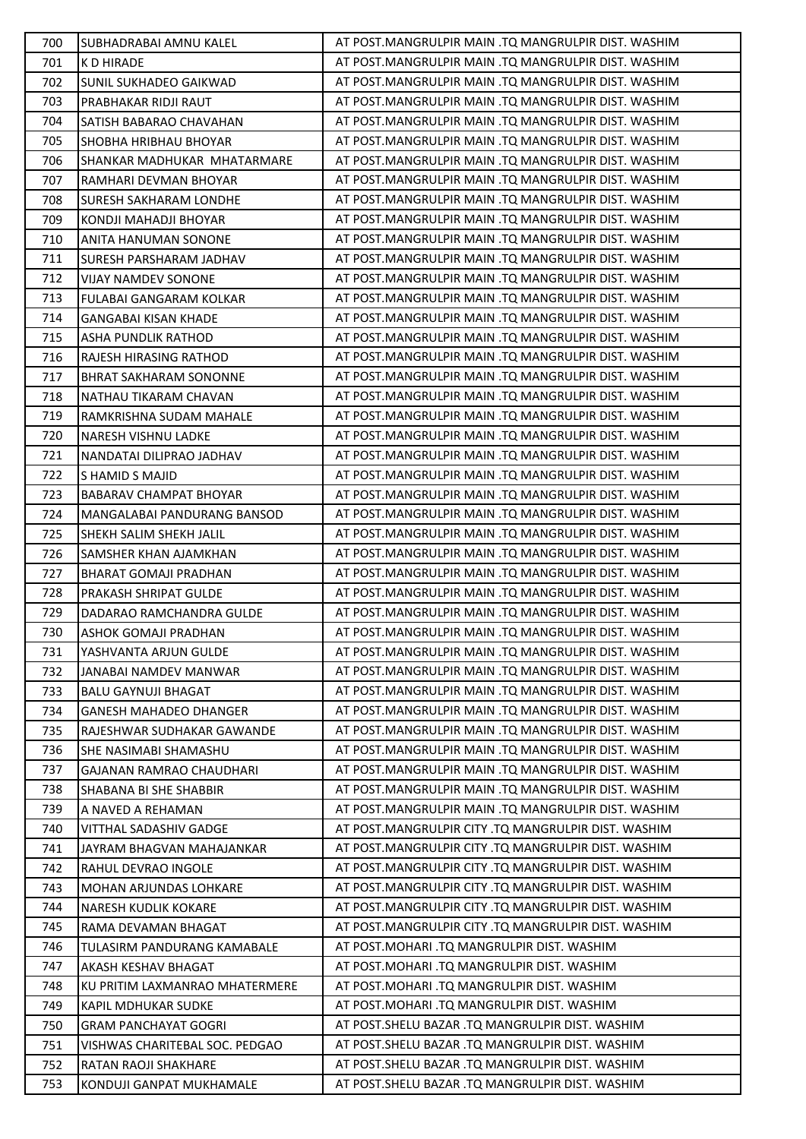| 700 | SUBHADRABAI AMNU KALEL         | AT POST.MANGRULPIR MAIN .TQ MANGRULPIR DIST. WASHIM |
|-----|--------------------------------|-----------------------------------------------------|
| 701 | K D HIRADE                     | AT POST.MANGRULPIR MAIN .TQ MANGRULPIR DIST. WASHIM |
| 702 | SUNIL SUKHADEO GAIKWAD         | AT POST.MANGRULPIR MAIN .TQ MANGRULPIR DIST. WASHIM |
| 703 | PRABHAKAR RIDJI RAUT           | AT POST.MANGRULPIR MAIN .TQ MANGRULPIR DIST. WASHIM |
| 704 | SATISH BABARAO CHAVAHAN        | AT POST.MANGRULPIR MAIN .TQ MANGRULPIR DIST. WASHIM |
| 705 | SHOBHA HRIBHAU BHOYAR          | AT POST.MANGRULPIR MAIN .TQ MANGRULPIR DIST. WASHIM |
| 706 | SHANKAR MADHUKAR MHATARMARE    | AT POST.MANGRULPIR MAIN .TQ MANGRULPIR DIST. WASHIM |
| 707 | RAMHARI DEVMAN BHOYAR          | AT POST.MANGRULPIR MAIN .TQ MANGRULPIR DIST. WASHIM |
| 708 | SURESH SAKHARAM LONDHE         | AT POST.MANGRULPIR MAIN .TQ MANGRULPIR DIST. WASHIM |
| 709 | KONDJI MAHADJI BHOYAR          | AT POST.MANGRULPIR MAIN .TQ MANGRULPIR DIST. WASHIM |
| 710 | ANITA HANUMAN SONONE           | AT POST.MANGRULPIR MAIN .TQ MANGRULPIR DIST. WASHIM |
| 711 | SURESH PARSHARAM JADHAV        | AT POST.MANGRULPIR MAIN .TQ MANGRULPIR DIST. WASHIM |
| 712 | <b>VIJAY NAMDEV SONONE</b>     | AT POST.MANGRULPIR MAIN .TQ MANGRULPIR DIST. WASHIM |
| 713 | FULABAI GANGARAM KOLKAR        | AT POST.MANGRULPIR MAIN .TQ MANGRULPIR DIST. WASHIM |
| 714 | <b>GANGABAI KISAN KHADE</b>    | AT POST.MANGRULPIR MAIN .TQ MANGRULPIR DIST. WASHIM |
| 715 | ASHA PUNDLIK RATHOD            | AT POST.MANGRULPIR MAIN .TQ MANGRULPIR DIST. WASHIM |
| 716 | RAJESH HIRASING RATHOD         | AT POST.MANGRULPIR MAIN .TQ MANGRULPIR DIST. WASHIM |
| 717 | BHRAT SAKHARAM SONONNE         | AT POST.MANGRULPIR MAIN .TQ MANGRULPIR DIST. WASHIM |
| 718 | NATHAU TIKARAM CHAVAN          | AT POST.MANGRULPIR MAIN .TQ MANGRULPIR DIST. WASHIM |
| 719 | RAMKRISHNA SUDAM MAHALE        | AT POST.MANGRULPIR MAIN .TQ MANGRULPIR DIST. WASHIM |
| 720 | NARESH VISHNU LADKE            | AT POST.MANGRULPIR MAIN .TQ MANGRULPIR DIST. WASHIM |
| 721 | NANDATAI DILIPRAO JADHAV       | AT POST.MANGRULPIR MAIN .TQ MANGRULPIR DIST. WASHIM |
| 722 | S HAMID S MAJID                | AT POST.MANGRULPIR MAIN .TQ MANGRULPIR DIST. WASHIM |
| 723 | BABARAV CHAMPAT BHOYAR         | AT POST.MANGRULPIR MAIN .TQ MANGRULPIR DIST. WASHIM |
| 724 | MANGALABAI PANDURANG BANSOD    | AT POST.MANGRULPIR MAIN .TQ MANGRULPIR DIST. WASHIM |
| 725 | SHEKH SALIM SHEKH JALIL        | AT POST.MANGRULPIR MAIN .TQ MANGRULPIR DIST. WASHIM |
| 726 | SAMSHER KHAN AJAMKHAN          | AT POST.MANGRULPIR MAIN .TQ MANGRULPIR DIST. WASHIM |
| 727 | <b>BHARAT GOMAJI PRADHAN</b>   | AT POST.MANGRULPIR MAIN .TQ MANGRULPIR DIST. WASHIM |
| 728 | PRAKASH SHRIPAT GULDE          | AT POST.MANGRULPIR MAIN .TQ MANGRULPIR DIST. WASHIM |
| 729 | DADARAO RAMCHANDRA GULDE       | AT POST.MANGRULPIR MAIN .TQ MANGRULPIR DIST. WASHIM |
| 730 | ASHOK GOMAJI PRADHAN           | AT POST.MANGRULPIR MAIN .TQ MANGRULPIR DIST. WASHIM |
| 731 | YASHVANTA ARJUN GULDE          | AT POST.MANGRULPIR MAIN .TQ MANGRULPIR DIST. WASHIM |
| 732 | JANABAI NAMDEV MANWAR          | AT POST.MANGRULPIR MAIN .TQ MANGRULPIR DIST. WASHIM |
| 733 | <b>BALU GAYNUJI BHAGAT</b>     | AT POST.MANGRULPIR MAIN .TQ MANGRULPIR DIST. WASHIM |
| 734 | <b>GANESH MAHADEO DHANGER</b>  | AT POST.MANGRULPIR MAIN .TQ MANGRULPIR DIST. WASHIM |
| 735 | RAJESHWAR SUDHAKAR GAWANDE     | AT POST.MANGRULPIR MAIN .TQ MANGRULPIR DIST. WASHIM |
| 736 | SHE NASIMABI SHAMASHU          | AT POST.MANGRULPIR MAIN .TQ MANGRULPIR DIST. WASHIM |
| 737 | GAJANAN RAMRAO CHAUDHARI       | AT POST.MANGRULPIR MAIN .TQ MANGRULPIR DIST. WASHIM |
| 738 | SHABANA BI SHE SHABBIR         | AT POST.MANGRULPIR MAIN .TQ MANGRULPIR DIST. WASHIM |
| 739 | A NAVED A REHAMAN              | AT POST.MANGRULPIR MAIN .TQ MANGRULPIR DIST. WASHIM |
| 740 | <b>VITTHAL SADASHIV GADGE</b>  | AT POST.MANGRULPIR CITY .TQ MANGRULPIR DIST. WASHIM |
| 741 | JAYRAM BHAGVAN MAHAJANKAR      | AT POST.MANGRULPIR CITY .TQ MANGRULPIR DIST. WASHIM |
| 742 | RAHUL DEVRAO INGOLE            | AT POST.MANGRULPIR CITY .TQ MANGRULPIR DIST. WASHIM |
| 743 | MOHAN ARJUNDAS LOHKARE         | AT POST.MANGRULPIR CITY .TQ MANGRULPIR DIST. WASHIM |
| 744 | NARESH KUDLIK KOKARE           | AT POST.MANGRULPIR CITY .TQ MANGRULPIR DIST. WASHIM |
| 745 | RAMA DEVAMAN BHAGAT            | AT POST.MANGRULPIR CITY .TQ MANGRULPIR DIST. WASHIM |
| 746 | TULASIRM PANDURANG KAMABALE    | AT POST.MOHARI .TQ MANGRULPIR DIST. WASHIM          |
| 747 | AKASH KESHAV BHAGAT            | AT POST.MOHARI .TQ MANGRULPIR DIST. WASHIM          |
| 748 | KU PRITIM LAXMANRAO MHATERMERE | AT POST. MOHARI .TQ MANGRULPIR DIST. WASHIM         |
| 749 | KAPIL MDHUKAR SUDKE            | AT POST.MOHARI .TQ MANGRULPIR DIST. WASHIM          |
| 750 | <b>GRAM PANCHAYAT GOGRI</b>    | AT POST.SHELU BAZAR .TQ MANGRULPIR DIST. WASHIM     |
| 751 | VISHWAS CHARITEBAL SOC. PEDGAO | AT POST.SHELU BAZAR .TQ MANGRULPIR DIST. WASHIM     |
| 752 | RATAN RAOJI SHAKHARE           | AT POST. SHELU BAZAR .TO MANGRULPIR DIST. WASHIM    |
| 753 | KONDUJI GANPAT MUKHAMALE       | AT POST.SHELU BAZAR .TQ MANGRULPIR DIST. WASHIM     |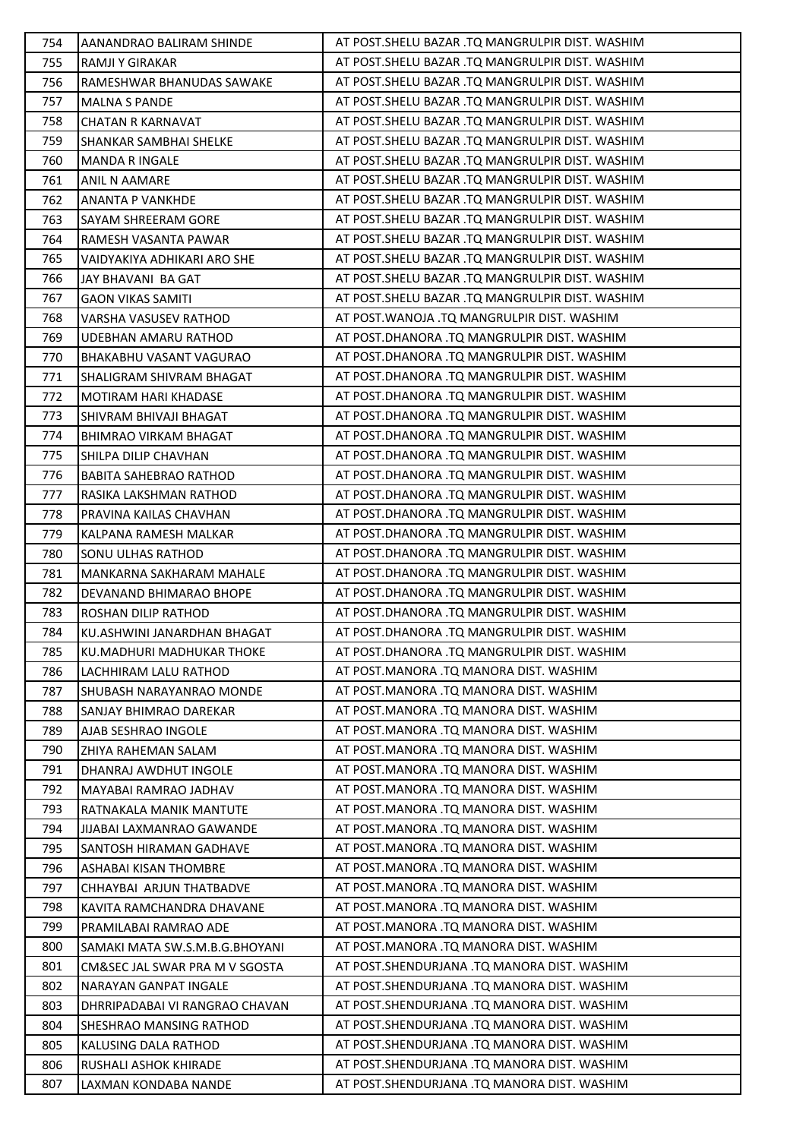| 754 | AANANDRAO BALIRAM SHINDE       | AT POST.SHELU BAZAR .TQ MANGRULPIR DIST. WASHIM   |
|-----|--------------------------------|---------------------------------------------------|
| 755 | RAMJI Y GIRAKAR                | AT POST.SHELU BAZAR .TQ MANGRULPIR DIST. WASHIM   |
| 756 | RAMESHWAR BHANUDAS SAWAKE      | AT POST.SHELU BAZAR .TQ MANGRULPIR DIST. WASHIM   |
| 757 | <b>MALNA S PANDE</b>           | AT POST.SHELU BAZAR .TQ MANGRULPIR DIST. WASHIM   |
| 758 | <b>CHATAN R KARNAVAT</b>       | AT POST. SHELU BAZAR . TQ MANGRULPIR DIST. WASHIM |
| 759 | SHANKAR SAMBHAI SHELKE         | AT POST.SHELU BAZAR .TQ MANGRULPIR DIST. WASHIM   |
| 760 | <b>MANDA R INGALE</b>          | AT POST. SHELU BAZAR . TQ MANGRULPIR DIST. WASHIM |
| 761 | ANIL N AAMARE                  | AT POST. SHELU BAZAR .TQ MANGRULPIR DIST. WASHIM  |
| 762 | <b>ANANTA P VANKHDE</b>        | AT POST. SHELU BAZAR .TQ MANGRULPIR DIST. WASHIM  |
| 763 | SAYAM SHREERAM GORE            | AT POST.SHELU BAZAR .TQ MANGRULPIR DIST. WASHIM   |
| 764 | RAMESH VASANTA PAWAR           | AT POST. SHELU BAZAR . TQ MANGRULPIR DIST. WASHIM |
| 765 | VAIDYAKIYA ADHIKARI ARO SHE    | AT POST. SHELU BAZAR . TQ MANGRULPIR DIST. WASHIM |
| 766 | JAY BHAVANI BA GAT             | AT POST.SHELU BAZAR .TQ MANGRULPIR DIST. WASHIM   |
| 767 | <b>GAON VIKAS SAMITI</b>       | AT POST.SHELU BAZAR .TQ MANGRULPIR DIST. WASHIM   |
| 768 | VARSHA VASUSEV RATHOD          | AT POST. WANOJA .TO MANGRULPIR DIST. WASHIM       |
| 769 | UDEBHAN AMARU RATHOD           | AT POST.DHANORA .TQ MANGRULPIR DIST. WASHIM       |
| 770 | BHAKABHU VASANT VAGURAO        | AT POST.DHANORA .TQ MANGRULPIR DIST. WASHIM       |
| 771 | SHALIGRAM SHIVRAM BHAGAT       | AT POST.DHANORA .TQ MANGRULPIR DIST. WASHIM       |
| 772 | <b>MOTIRAM HARI KHADASE</b>    | AT POST.DHANORA .TQ MANGRULPIR DIST. WASHIM       |
| 773 | SHIVRAM BHIVAJI BHAGAT         | AT POST.DHANORA .TQ MANGRULPIR DIST. WASHIM       |
| 774 | <b>BHIMRAO VIRKAM BHAGAT</b>   | AT POST.DHANORA .TQ MANGRULPIR DIST. WASHIM       |
| 775 | SHILPA DILIP CHAVHAN           | AT POST.DHANORA .TQ MANGRULPIR DIST. WASHIM       |
| 776 | <b>BABITA SAHEBRAO RATHOD</b>  | AT POST.DHANORA .TQ MANGRULPIR DIST. WASHIM       |
| 777 | RASIKA LAKSHMAN RATHOD         | AT POST.DHANORA .TQ MANGRULPIR DIST. WASHIM       |
| 778 | PRAVINA KAILAS CHAVHAN         | AT POST.DHANORA .TQ MANGRULPIR DIST. WASHIM       |
| 779 | KALPANA RAMESH MALKAR          | AT POST.DHANORA .TQ MANGRULPIR DIST. WASHIM       |
| 780 | SONU ULHAS RATHOD              | AT POST.DHANORA .TQ MANGRULPIR DIST. WASHIM       |
| 781 | MANKARNA SAKHARAM MAHALE       | AT POST.DHANORA .TQ MANGRULPIR DIST. WASHIM       |
| 782 | DEVANAND BHIMARAO BHOPE        | AT POST.DHANORA .TQ MANGRULPIR DIST. WASHIM       |
| 783 | ROSHAN DILIP RATHOD            | AT POST.DHANORA .TQ MANGRULPIR DIST. WASHIM       |
| 784 | KU.ASHWINI JANARDHAN BHAGAT    | AT POST.DHANORA .TQ MANGRULPIR DIST. WASHIM       |
| 785 | KU.MADHURI MADHUKAR THOKE      | AT POST.DHANORA .TQ MANGRULPIR DIST. WASHIM       |
| 786 | LACHHIRAM LALU RATHOD          | AT POST.MANORA .TO MANORA DIST. WASHIM            |
| 787 | SHUBASH NARAYANRAO MONDE       | AT POST.MANORA .TQ MANORA DIST. WASHIM            |
| 788 | SANJAY BHIMRAO DAREKAR         | AT POST.MANORA .TQ MANORA DIST. WASHIM            |
| 789 | AJAB SESHRAO INGOLE            | AT POST.MANORA .TO MANORA DIST. WASHIM            |
| 790 | ZHIYA RAHEMAN SALAM            | AT POST.MANORA .TO MANORA DIST. WASHIM            |
| 791 | DHANRAJ AWDHUT INGOLE          | AT POST.MANORA .TQ MANORA DIST. WASHIM            |
| 792 | MAYABAI RAMRAO JADHAV          | AT POST.MANORA .TQ MANORA DIST. WASHIM            |
| 793 | RATNAKALA MANIK MANTUTE        | AT POST.MANORA .TQ MANORA DIST. WASHIM            |
| 794 | JIJABAI LAXMANRAO GAWANDE      | AT POST.MANORA .TQ MANORA DIST. WASHIM            |
| 795 | SANTOSH HIRAMAN GADHAVE        | AT POST.MANORA .TQ MANORA DIST. WASHIM            |
| 796 | ASHABAI KISAN THOMBRE          | AT POST.MANORA .TQ MANORA DIST. WASHIM            |
| 797 | CHHAYBAI ARJUN THATBADVE       | AT POST.MANORA .TQ MANORA DIST. WASHIM            |
| 798 | KAVITA RAMCHANDRA DHAVANE      | AT POST.MANORA .TQ MANORA DIST. WASHIM            |
| 799 | PRAMILABAI RAMRAO ADE          | AT POST.MANORA .TQ MANORA DIST. WASHIM            |
| 800 | SAMAKI MATA SW.S.M.B.G.BHOYANI | AT POST.MANORA .TQ MANORA DIST. WASHIM            |
| 801 | CM&SEC JAL SWAR PRA M V SGOSTA | AT POST.SHENDURJANA .TQ MANORA DIST. WASHIM       |
| 802 | NARAYAN GANPAT INGALE          | AT POST. SHENDURJANA .TQ MANORA DIST. WASHIM      |
| 803 | DHRRIPADABAI VI RANGRAO CHAVAN | AT POST. SHENDURJANA .TQ MANORA DIST. WASHIM      |
| 804 | SHESHRAO MANSING RATHOD        | AT POST.SHENDURJANA .TQ MANORA DIST. WASHIM       |
| 805 | KALUSING DALA RATHOD           | AT POST.SHENDURJANA .TQ MANORA DIST. WASHIM       |
| 806 | RUSHALI ASHOK KHIRADE          | AT POST. SHENDURJANA .TQ MANORA DIST. WASHIM      |
| 807 | LAXMAN KONDABA NANDE           | AT POST.SHENDURJANA .TQ MANORA DIST. WASHIM       |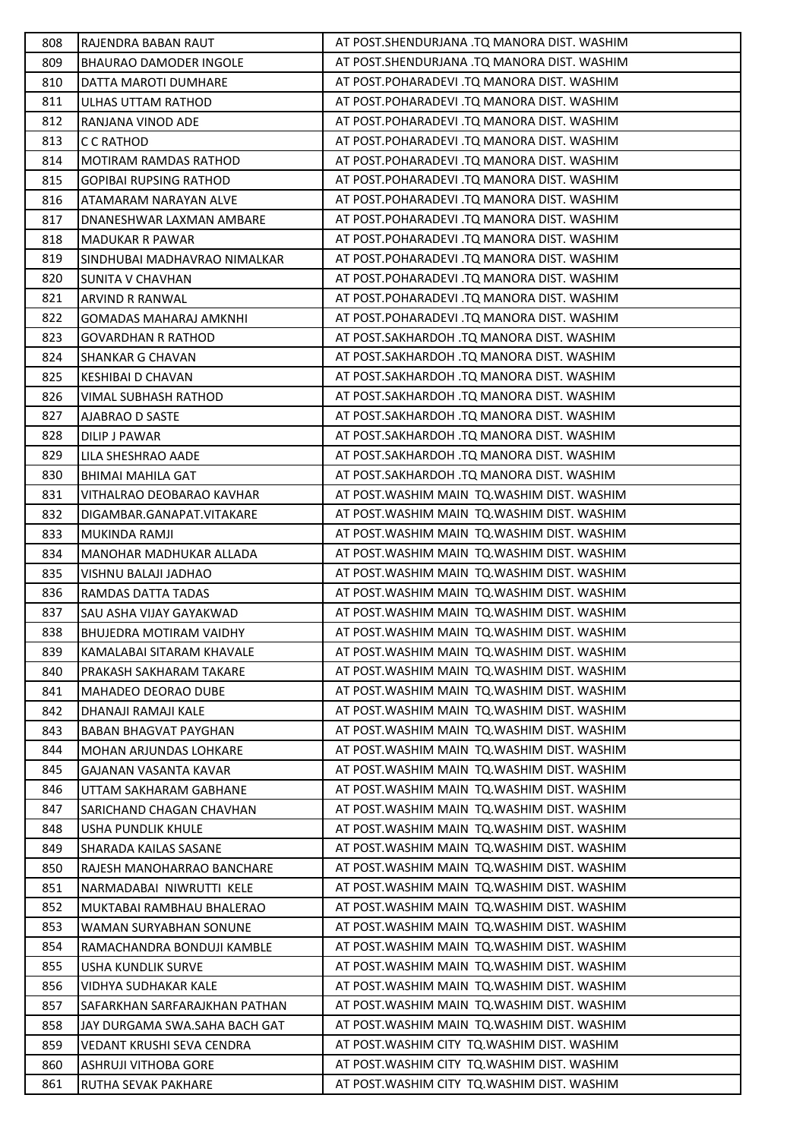| 808 | RAJENDRA BABAN RAUT            | AT POST.SHENDURJANA .TQ MANORA DIST. WASHIM  |
|-----|--------------------------------|----------------------------------------------|
| 809 | BHAURAO DAMODER INGOLE         | AT POST.SHENDURJANA .TQ MANORA DIST. WASHIM  |
| 810 | DATTA MAROTI DUMHARE           | AT POST.POHARADEVI .TQ MANORA DIST. WASHIM   |
| 811 | ULHAS UTTAM RATHOD             | AT POST.POHARADEVI .TQ MANORA DIST. WASHIM   |
| 812 | RANJANA VINOD ADE              | AT POST.POHARADEVI .TQ MANORA DIST. WASHIM   |
| 813 | C C RATHOD                     | AT POST.POHARADEVI .TQ MANORA DIST. WASHIM   |
| 814 | <b>MOTIRAM RAMDAS RATHOD</b>   | AT POST.POHARADEVI .TQ MANORA DIST. WASHIM   |
| 815 | <b>GOPIBAI RUPSING RATHOD</b>  | AT POST.POHARADEVI .TQ MANORA DIST. WASHIM   |
| 816 | ATAMARAM NARAYAN ALVE          | AT POST.POHARADEVI .TQ MANORA DIST. WASHIM   |
| 817 | DNANESHWAR LAXMAN AMBARE       | AT POST.POHARADEVI .TQ MANORA DIST. WASHIM   |
| 818 | <b>MADUKAR R PAWAR</b>         | AT POST.POHARADEVI .TQ MANORA DIST. WASHIM   |
| 819 | SINDHUBAI MADHAVRAO NIMALKAR   | AT POST.POHARADEVI .TQ MANORA DIST. WASHIM   |
| 820 | <b>SUNITA V CHAVHAN</b>        | AT POST.POHARADEVI .TQ MANORA DIST. WASHIM   |
| 821 | ARVIND R RANWAL                | AT POST.POHARADEVI .TQ MANORA DIST. WASHIM   |
| 822 | <b>GOMADAS MAHARAJ AMKNHI</b>  | AT POST.POHARADEVI .TQ MANORA DIST. WASHIM   |
| 823 | <b>GOVARDHAN R RATHOD</b>      | AT POST.SAKHARDOH .TQ MANORA DIST. WASHIM    |
| 824 | <b>SHANKAR G CHAVAN</b>        | AT POST.SAKHARDOH .TQ MANORA DIST. WASHIM    |
| 825 | KESHIBAI D CHAVAN              | AT POST.SAKHARDOH .TQ MANORA DIST. WASHIM    |
| 826 | VIMAL SUBHASH RATHOD           | AT POST.SAKHARDOH .TQ MANORA DIST. WASHIM    |
| 827 | AJABRAO D SASTE                | AT POST.SAKHARDOH .TQ MANORA DIST. WASHIM    |
| 828 | <b>DILIP J PAWAR</b>           | AT POST.SAKHARDOH .TQ MANORA DIST. WASHIM    |
| 829 | LILA SHESHRAO AADE             | AT POST.SAKHARDOH .TQ MANORA DIST. WASHIM    |
| 830 | <b>BHIMAI MAHILA GAT</b>       | AT POST.SAKHARDOH .TQ MANORA DIST. WASHIM    |
| 831 | VITHALRAO DEOBARAO KAVHAR      | AT POST. WASHIM MAIN TQ. WASHIM DIST. WASHIM |
| 832 | DIGAMBAR.GANAPAT.VITAKARE      | AT POST. WASHIM MAIN TQ. WASHIM DIST. WASHIM |
| 833 | MUKINDA RAMJI                  | AT POST. WASHIM MAIN TQ. WASHIM DIST. WASHIM |
| 834 | MANOHAR MADHUKAR ALLADA        | AT POST. WASHIM MAIN TQ. WASHIM DIST. WASHIM |
| 835 | VISHNU BALAJI JADHAO           | AT POST. WASHIM MAIN TQ. WASHIM DIST. WASHIM |
| 836 | RAMDAS DATTA TADAS             | AT POST. WASHIM MAIN TQ. WASHIM DIST. WASHIM |
| 837 | SAU ASHA VIJAY GAYAKWAD        | AT POST. WASHIM MAIN TQ. WASHIM DIST. WASHIM |
| 838 | <b>BHUJEDRA MOTIRAM VAIDHY</b> | AT POST. WASHIM MAIN TQ. WASHIM DIST. WASHIM |
| 839 | KAMALABAI SITARAM KHAVALE      | AT POST. WASHIM MAIN TQ. WASHIM DIST. WASHIM |
| 840 | PRAKASH SAKHARAM TAKARE        | AT POST. WASHIM MAIN TQ. WASHIM DIST. WASHIM |
| 841 | MAHADEO DEORAO DUBE            | AT POST. WASHIM MAIN TO. WASHIM DIST. WASHIM |
| 842 | DHANAJI RAMAJI KALE            | AT POST. WASHIM MAIN TQ. WASHIM DIST. WASHIM |
| 843 | BABAN BHAGVAT PAYGHAN          | AT POST. WASHIM MAIN TO. WASHIM DIST. WASHIM |
| 844 | MOHAN ARJUNDAS LOHKARE         | AT POST. WASHIM MAIN TO. WASHIM DIST. WASHIM |
| 845 | GAJANAN VASANTA KAVAR          | AT POST. WASHIM MAIN TO. WASHIM DIST. WASHIM |
| 846 | UTTAM SAKHARAM GABHANE         | AT POST. WASHIM MAIN TQ. WASHIM DIST. WASHIM |
| 847 | SARICHAND CHAGAN CHAVHAN       | AT POST. WASHIM MAIN TQ. WASHIM DIST. WASHIM |
| 848 | USHA PUNDLIK KHULE             | AT POST. WASHIM MAIN TO. WASHIM DIST. WASHIM |
| 849 | SHARADA KAILAS SASANE          | AT POST. WASHIM MAIN TO. WASHIM DIST. WASHIM |
| 850 | RAJESH MANOHARRAO BANCHARE     | AT POST. WASHIM MAIN TQ. WASHIM DIST. WASHIM |
| 851 | NARMADABAI NIWRUTTI KELE       | AT POST. WASHIM MAIN TQ. WASHIM DIST. WASHIM |
| 852 | MUKTABAI RAMBHAU BHALERAO      | AT POST. WASHIM MAIN TQ. WASHIM DIST. WASHIM |
| 853 | WAMAN SURYABHAN SONUNE         | AT POST. WASHIM MAIN TQ. WASHIM DIST. WASHIM |
| 854 | RAMACHANDRA BONDUJI KAMBLE     | AT POST. WASHIM MAIN TQ. WASHIM DIST. WASHIM |
| 855 | USHA KUNDLIK SURVE             | AT POST. WASHIM MAIN TO. WASHIM DIST. WASHIM |
| 856 | VIDHYA SUDHAKAR KALE           | AT POST. WASHIM MAIN TQ. WASHIM DIST. WASHIM |
| 857 | SAFARKHAN SARFARAJKHAN PATHAN  | AT POST. WASHIM MAIN TO. WASHIM DIST. WASHIM |
| 858 | JAY DURGAMA SWA.SAHA BACH GAT  | AT POST. WASHIM MAIN TQ. WASHIM DIST. WASHIM |
| 859 | VEDANT KRUSHI SEVA CENDRA      | AT POST. WASHIM CITY TO. WASHIM DIST. WASHIM |
| 860 | <b>ASHRUJI VITHOBA GORE</b>    | AT POST. WASHIM CITY TQ. WASHIM DIST. WASHIM |
| 861 | RUTHA SEVAK PAKHARE            | AT POST. WASHIM CITY TO. WASHIM DIST. WASHIM |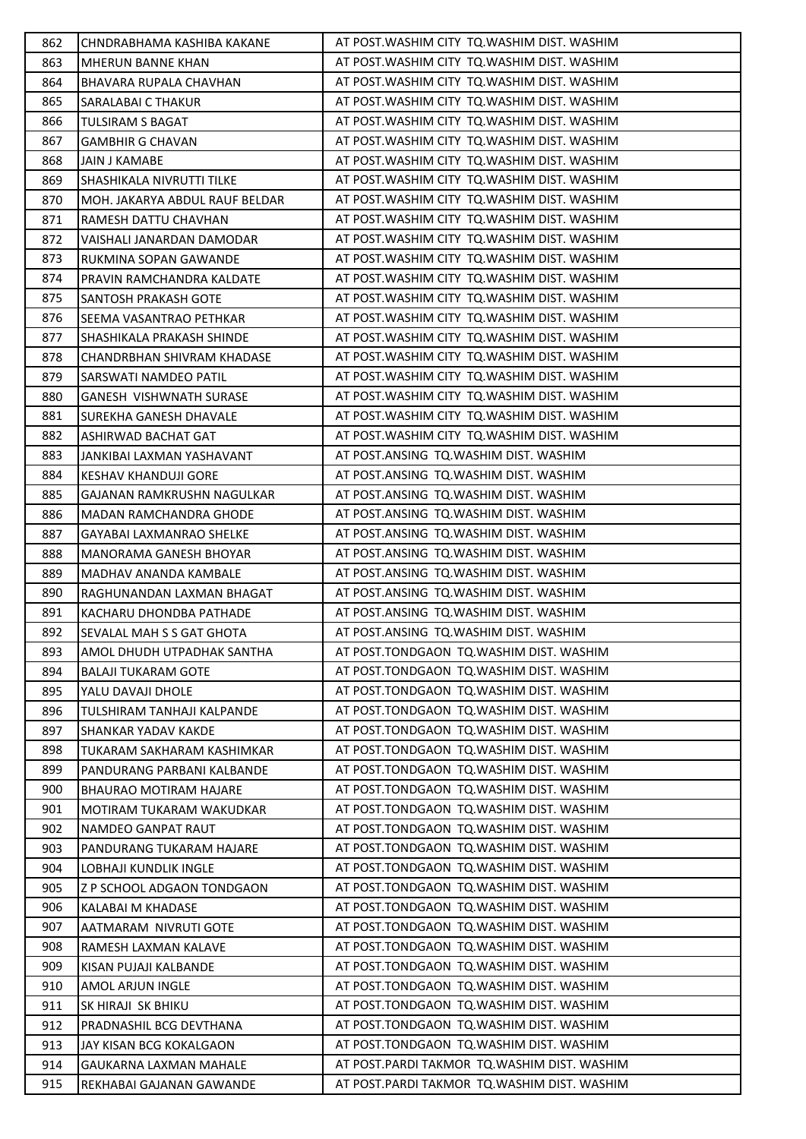| 862        | CHNDRABHAMA KASHIBA KAKANE                                | AT POST. WASHIM CITY TO. WASHIM DIST. WASHIM                                               |
|------------|-----------------------------------------------------------|--------------------------------------------------------------------------------------------|
| 863        | MHERUN BANNE KHAN                                         | AT POST. WASHIM CITY TO. WASHIM DIST. WASHIM                                               |
| 864        | BHAVARA RUPALA CHAVHAN                                    | AT POST. WASHIM CITY TO. WASHIM DIST. WASHIM                                               |
| 865        | <b>SARALABAI C THAKUR</b>                                 | AT POST. WASHIM CITY TO. WASHIM DIST. WASHIM                                               |
| 866        | <b>TULSIRAM S BAGAT</b>                                   | AT POST. WASHIM CITY TO. WASHIM DIST. WASHIM                                               |
| 867        | <b>GAMBHIR G CHAVAN</b>                                   | AT POST. WASHIM CITY TO. WASHIM DIST. WASHIM                                               |
| 868        | <b>JAIN J KAMABE</b>                                      | AT POST. WASHIM CITY TO. WASHIM DIST. WASHIM                                               |
| 869        | SHASHIKALA NIVRUTTI TILKE                                 | AT POST. WASHIM CITY TO. WASHIM DIST. WASHIM                                               |
| 870        | MOH. JAKARYA ABDUL RAUF BELDAR                            | AT POST. WASHIM CITY TO. WASHIM DIST. WASHIM                                               |
| 871        | RAMESH DATTU CHAVHAN                                      | AT POST. WASHIM CITY TO. WASHIM DIST. WASHIM                                               |
| 872        | VAISHALI JANARDAN DAMODAR                                 | AT POST. WASHIM CITY TO. WASHIM DIST. WASHIM                                               |
| 873        | RUKMINA SOPAN GAWANDE                                     | AT POST. WASHIM CITY TO. WASHIM DIST. WASHIM                                               |
| 874        | PRAVIN RAMCHANDRA KALDATE                                 | AT POST. WASHIM CITY TO. WASHIM DIST. WASHIM                                               |
| 875        | SANTOSH PRAKASH GOTE                                      | AT POST. WASHIM CITY TO. WASHIM DIST. WASHIM                                               |
| 876        | SEEMA VASANTRAO PETHKAR                                   | AT POST. WASHIM CITY TO. WASHIM DIST. WASHIM                                               |
| 877        | SHASHIKALA PRAKASH SHINDE                                 | AT POST. WASHIM CITY TO. WASHIM DIST. WASHIM                                               |
| 878        | <b>CHANDRBHAN SHIVRAM KHADASE</b>                         | AT POST. WASHIM CITY TO. WASHIM DIST. WASHIM                                               |
| 879        | SARSWATI NAMDEO PATIL                                     | AT POST. WASHIM CITY TO. WASHIM DIST. WASHIM                                               |
| 880        | <b>GANESH VISHWNATH SURASE</b>                            | AT POST. WASHIM CITY TO. WASHIM DIST. WASHIM                                               |
| 881        | <b>SUREKHA GANESH DHAVALE</b>                             | AT POST. WASHIM CITY TO. WASHIM DIST. WASHIM                                               |
| 882        | ASHIRWAD BACHAT GAT                                       | AT POST. WASHIM CITY TO. WASHIM DIST. WASHIM                                               |
| 883        | JANKIBAI LAXMAN YASHAVANT                                 | AT POST.ANSING TQ.WASHIM DIST. WASHIM                                                      |
| 884        | <b>KESHAV KHANDUJI GORE</b>                               | AT POST.ANSING TQ.WASHIM DIST. WASHIM                                                      |
| 885        | GAJANAN RAMKRUSHN NAGULKAR                                | AT POST.ANSING TQ.WASHIM DIST. WASHIM                                                      |
| 886        | MADAN RAMCHANDRA GHODE                                    | AT POST.ANSING TQ.WASHIM DIST. WASHIM                                                      |
| 887        | GAYABAI LAXMANRAO SHELKE                                  | AT POST.ANSING TQ.WASHIM DIST. WASHIM                                                      |
| 888        | MANORAMA GANESH BHOYAR                                    | AT POST.ANSING TQ.WASHIM DIST. WASHIM                                                      |
|            |                                                           |                                                                                            |
| 889        | <b>MADHAV ANANDA KAMBALE</b>                              | AT POST.ANSING TQ.WASHIM DIST. WASHIM                                                      |
| 890        | RAGHUNANDAN LAXMAN BHAGAT                                 | AT POST.ANSING TQ.WASHIM DIST. WASHIM                                                      |
| 891        | KACHARU DHONDBA PATHADE                                   | AT POST.ANSING TQ.WASHIM DIST. WASHIM                                                      |
| 892        | SEVALAL MAH S S GAT GHOTA                                 | AT POST.ANSING TQ.WASHIM DIST. WASHIM                                                      |
| 893        | AMOL DHUDH UTPADHAK SANTHA                                | AT POST.TONDGAON TQ.WASHIM DIST. WASHIM                                                    |
| 894        | <b>BALAJI TUKARAM GOTE</b>                                | AT POST.TONDGAON TQ.WASHIM DIST. WASHIM                                                    |
| 895        | YALU DAVAJI DHOLE                                         | AT POST.TONDGAON TO.WASHIM DIST. WASHIM                                                    |
| 896        | TULSHIRAM TANHAJI KALPANDE                                | AT POST.TONDGAON TQ.WASHIM DIST. WASHIM                                                    |
| 897        | SHANKAR YADAV KAKDE                                       | AT POST.TONDGAON TQ.WASHIM DIST. WASHIM                                                    |
| 898        | TUKARAM SAKHARAM KASHIMKAR                                | AT POST.TONDGAON TO.WASHIM DIST. WASHIM                                                    |
| 899        | PANDURANG PARBANI KALBANDE                                | AT POST.TONDGAON TQ.WASHIM DIST. WASHIM                                                    |
| 900        | <b>BHAURAO MOTIRAM HAJARE</b>                             | AT POST.TONDGAON TQ.WASHIM DIST. WASHIM                                                    |
| 901        | MOTIRAM TUKARAM WAKUDKAR                                  | AT POST.TONDGAON TQ.WASHIM DIST. WASHIM                                                    |
| 902        | NAMDEO GANPAT RAUT                                        | AT POST.TONDGAON TQ.WASHIM DIST. WASHIM                                                    |
| 903        | PANDURANG TUKARAM HAJARE                                  | AT POST.TONDGAON TQ.WASHIM DIST. WASHIM                                                    |
| 904        | LOBHAJI KUNDLIK INGLE                                     | AT POST.TONDGAON TQ.WASHIM DIST. WASHIM                                                    |
| 905        | Z P SCHOOL ADGAON TONDGAON                                | AT POST.TONDGAON TQ.WASHIM DIST. WASHIM                                                    |
| 906        | KALABAI M KHADASE                                         | AT POST.TONDGAON TO.WASHIM DIST. WASHIM                                                    |
| 907        | AATMARAM NIVRUTI GOTE                                     | AT POST.TONDGAON TO.WASHIM DIST. WASHIM                                                    |
| 908        | RAMESH LAXMAN KALAVE                                      | AT POST.TONDGAON TQ.WASHIM DIST. WASHIM                                                    |
| 909        | KISAN PUJAJI KALBANDE                                     | AT POST.TONDGAON TQ.WASHIM DIST. WASHIM                                                    |
| 910        | AMOL ARJUN INGLE                                          | AT POST.TONDGAON TQ.WASHIM DIST. WASHIM                                                    |
| 911        | SK HIRAJI SK BHIKU                                        | AT POST.TONDGAON TO.WASHIM DIST. WASHIM                                                    |
| 912        | PRADNASHIL BCG DEVTHANA                                   | AT POST.TONDGAON TQ.WASHIM DIST. WASHIM                                                    |
| 913        | JAY KISAN BCG KOKALGAON                                   | AT POST.TONDGAON TQ.WASHIM DIST. WASHIM                                                    |
| 914<br>915 | <b>GAUKARNA LAXMAN MAHALE</b><br>REKHABAI GAJANAN GAWANDE | AT POST.PARDI TAKMOR TQ.WASHIM DIST. WASHIM<br>AT POST.PARDI TAKMOR TQ.WASHIM DIST. WASHIM |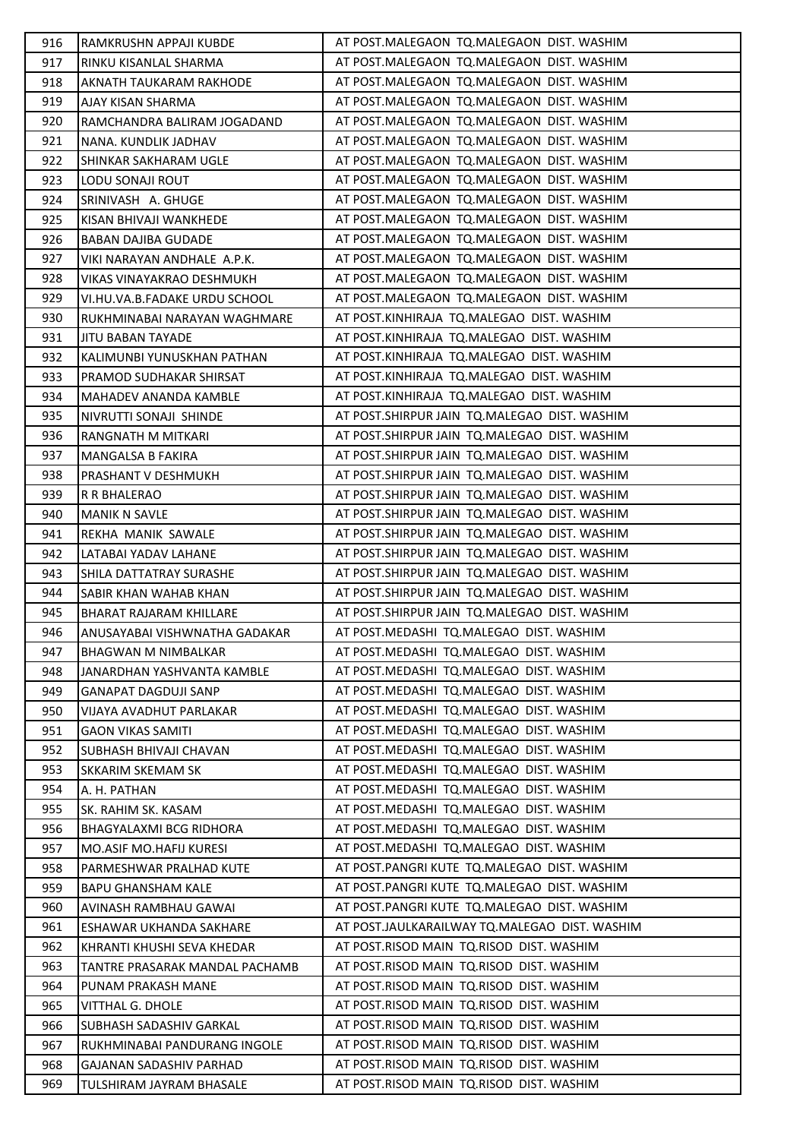| 916 | RAMKRUSHN APPAJI KUBDE         | AT POST.MALEGAON TQ.MALEGAON DIST. WASHIM      |
|-----|--------------------------------|------------------------------------------------|
| 917 | RINKU KISANLAL SHARMA          | AT POST.MALEGAON TQ.MALEGAON DIST. WASHIM      |
| 918 | AKNATH TAUKARAM RAKHODE        | AT POST.MALEGAON TQ.MALEGAON DIST. WASHIM      |
| 919 | AJAY KISAN SHARMA              | AT POST.MALEGAON TQ.MALEGAON DIST. WASHIM      |
| 920 | RAMCHANDRA BALIRAM JOGADAND    | AT POST.MALEGAON TQ.MALEGAON DIST. WASHIM      |
| 921 | NANA. KUNDLIK JADHAV           | AT POST.MALEGAON TQ.MALEGAON DIST. WASHIM      |
| 922 | SHINKAR SAKHARAM UGLE          | AT POST.MALEGAON TQ.MALEGAON DIST. WASHIM      |
| 923 | LODU SONAJI ROUT               | AT POST.MALEGAON TQ.MALEGAON DIST. WASHIM      |
| 924 | SRINIVASH A. GHUGE             | AT POST.MALEGAON TQ.MALEGAON DIST. WASHIM      |
| 925 | KISAN BHIVAJI WANKHEDE         | AT POST.MALEGAON TQ.MALEGAON DIST. WASHIM      |
| 926 | BABAN DAJIBA GUDADE            | AT POST.MALEGAON TQ.MALEGAON DIST. WASHIM      |
| 927 | VIKI NARAYAN ANDHALE A.P.K.    | AT POST.MALEGAON TQ.MALEGAON DIST. WASHIM      |
| 928 | VIKAS VINAYAKRAO DESHMUKH      | AT POST.MALEGAON TQ.MALEGAON DIST. WASHIM      |
| 929 | VI.HU.VA.B.FADAKE URDU SCHOOL  | AT POST.MALEGAON TQ.MALEGAON DIST. WASHIM      |
| 930 | RUKHMINABAI NARAYAN WAGHMARE   | AT POST.KINHIRAJA TQ.MALEGAO DIST. WASHIM      |
| 931 | <b>JITU BABAN TAYADE</b>       | AT POST.KINHIRAJA TQ.MALEGAO DIST. WASHIM      |
| 932 | KALIMUNBI YUNUSKHAN PATHAN     | AT POST.KINHIRAJA TQ.MALEGAO DIST. WASHIM      |
| 933 | PRAMOD SUDHAKAR SHIRSAT        | AT POST.KINHIRAJA TQ.MALEGAO DIST. WASHIM      |
| 934 | MAHADEV ANANDA KAMBLE          | AT POST.KINHIRAJA TQ.MALEGAO DIST. WASHIM      |
| 935 | NIVRUTTI SONAJI SHINDE         | AT POST. SHIRPUR JAIN TO. MALEGAO DIST. WASHIM |
| 936 | RANGNATH M MITKARI             | AT POST.SHIRPUR JAIN TQ.MALEGAO DIST. WASHIM   |
| 937 | MANGALSA B FAKIRA              | AT POST.SHIRPUR JAIN TQ.MALEGAO DIST. WASHIM   |
| 938 | PRASHANT V DESHMUKH            | AT POST.SHIRPUR JAIN TQ.MALEGAO DIST. WASHIM   |
| 939 | R R BHALERAO                   | AT POST.SHIRPUR JAIN TQ.MALEGAO DIST. WASHIM   |
| 940 | <b>MANIK N SAVLE</b>           | AT POST.SHIRPUR JAIN TQ.MALEGAO DIST. WASHIM   |
| 941 | REKHA MANIK SAWALE             | AT POST.SHIRPUR JAIN TQ.MALEGAO DIST. WASHIM   |
| 942 | LATABAI YADAV LAHANE           | AT POST.SHIRPUR JAIN TQ.MALEGAO DIST. WASHIM   |
| 943 | SHILA DATTATRAY SURASHE        | AT POST.SHIRPUR JAIN TQ.MALEGAO DIST. WASHIM   |
| 944 | SABIR KHAN WAHAB KHAN          | AT POST.SHIRPUR JAIN TQ.MALEGAO DIST. WASHIM   |
| 945 | BHARAT RAJARAM KHILLARE        | AT POST.SHIRPUR JAIN TQ.MALEGAO DIST. WASHIM   |
| 946 | ANUSAYABAI VISHWNATHA GADAKAR  | AT POST.MEDASHI TQ.MALEGAO DIST. WASHIM        |
| 947 | <b>BHAGWAN M NIMBALKAR</b>     | AT POST.MEDASHI TQ.MALEGAO DIST. WASHIM        |
| 948 | JANARDHAN YASHVANTA KAMBLE     | AT POST.MEDASHI TQ.MALEGAO DIST. WASHIM        |
| 949 | GANAPAT DAGDUJI SANP           | AT POST.MEDASHI TQ.MALEGAO DIST. WASHIM        |
| 950 | VIJAYA AVADHUT PARLAKAR        | AT POST.MEDASHI TQ.MALEGAO DIST. WASHIM        |
| 951 | <b>GAON VIKAS SAMITI</b>       | AT POST.MEDASHI TQ.MALEGAO DIST. WASHIM        |
| 952 | SUBHASH BHIVAJI CHAVAN         | AT POST.MEDASHI TQ.MALEGAO DIST. WASHIM        |
| 953 | SKKARIM SKEMAM SK              | AT POST.MEDASHI TQ.MALEGAO DIST. WASHIM        |
| 954 | A. H. PATHAN                   | AT POST.MEDASHI TQ.MALEGAO DIST. WASHIM        |
| 955 | SK. RAHIM SK. KASAM            | AT POST.MEDASHI TQ.MALEGAO DIST. WASHIM        |
| 956 | <b>BHAGYALAXMI BCG RIDHORA</b> | AT POST.MEDASHI TQ.MALEGAO DIST. WASHIM        |
| 957 | MO.ASIF MO.HAFIJ KURESI        | AT POST.MEDASHI TQ.MALEGAO DIST. WASHIM        |
| 958 | PARMESHWAR PRALHAD KUTE        | AT POST.PANGRI KUTE TQ.MALEGAO DIST. WASHIM    |
| 959 | <b>BAPU GHANSHAM KALE</b>      | AT POST.PANGRI KUTE TQ.MALEGAO DIST. WASHIM    |
| 960 | AVINASH RAMBHAU GAWAI          | AT POST.PANGRI KUTE TQ.MALEGAO DIST. WASHIM    |
| 961 | ESHAWAR UKHANDA SAKHARE        | AT POST.JAULKARAILWAY TQ.MALEGAO DIST. WASHIM  |
| 962 | KHRANTI KHUSHI SEVA KHEDAR     | AT POST.RISOD MAIN TQ.RISOD DIST. WASHIM       |
| 963 | TANTRE PRASARAK MANDAL PACHAMB | AT POST.RISOD MAIN TQ.RISOD DIST. WASHIM       |
| 964 | PUNAM PRAKASH MANE             | AT POST.RISOD MAIN TQ.RISOD DIST. WASHIM       |
| 965 | <b>VITTHAL G. DHOLE</b>        | AT POST.RISOD MAIN TQ.RISOD DIST. WASHIM       |
| 966 | <b>SUBHASH SADASHIV GARKAL</b> | AT POST.RISOD MAIN TQ.RISOD DIST. WASHIM       |
| 967 | RUKHMINABAI PANDURANG INGOLE   | AT POST.RISOD MAIN TQ.RISOD DIST. WASHIM       |
| 968 | GAJANAN SADASHIV PARHAD        | AT POST.RISOD MAIN TQ.RISOD DIST. WASHIM       |
| 969 | TULSHIRAM JAYRAM BHASALE       | AT POST.RISOD MAIN TQ.RISOD DIST. WASHIM       |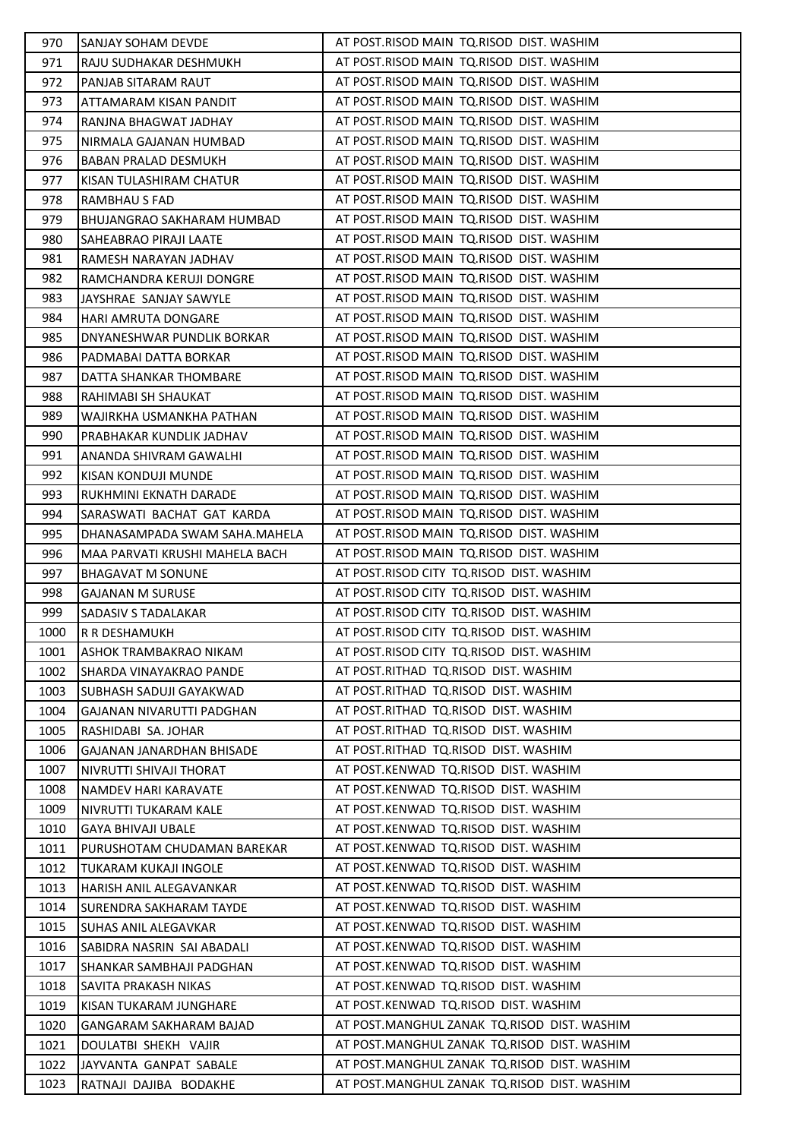| 970          | <b>SANJAY SOHAM DEVDE</b>                        | AT POST.RISOD MAIN TQ.RISOD DIST. WASHIM                                                   |
|--------------|--------------------------------------------------|--------------------------------------------------------------------------------------------|
| 971          | RAJU SUDHAKAR DESHMUKH                           | AT POST.RISOD MAIN TQ.RISOD DIST. WASHIM                                                   |
| 972          | PANJAB SITARAM RAUT                              | AT POST.RISOD MAIN TQ.RISOD DIST. WASHIM                                                   |
| 973          | ATTAMARAM KISAN PANDIT                           | AT POST.RISOD MAIN TQ.RISOD DIST. WASHIM                                                   |
| 974          | RANJNA BHAGWAT JADHAY                            | AT POST.RISOD MAIN TQ.RISOD DIST. WASHIM                                                   |
| 975          | NIRMALA GAJANAN HUMBAD                           | AT POST.RISOD MAIN TQ.RISOD DIST. WASHIM                                                   |
| 976          | BABAN PRALAD DESMUKH                             | AT POST.RISOD MAIN TQ.RISOD DIST. WASHIM                                                   |
| 977          | KISAN TULASHIRAM CHATUR                          | AT POST.RISOD MAIN TQ.RISOD DIST. WASHIM                                                   |
| 978          | <b>RAMBHAU S FAD</b>                             | AT POST.RISOD MAIN TQ.RISOD DIST. WASHIM                                                   |
| 979          | BHUJANGRAO SAKHARAM HUMBAD                       | AT POST.RISOD MAIN TQ.RISOD DIST. WASHIM                                                   |
| 980          | <b>SAHEABRAO PIRAJI LAATE</b>                    | AT POST.RISOD MAIN TQ.RISOD DIST. WASHIM                                                   |
| 981          | RAMESH NARAYAN JADHAV                            | AT POST.RISOD MAIN TQ.RISOD DIST. WASHIM                                                   |
| 982          | RAMCHANDRA KERUJI DONGRE                         | AT POST.RISOD MAIN TQ.RISOD DIST. WASHIM                                                   |
| 983          | JAYSHRAE SANJAY SAWYLE                           | AT POST.RISOD MAIN TQ.RISOD DIST. WASHIM                                                   |
| 984          | HARI AMRUTA DONGARE                              | AT POST.RISOD MAIN TQ.RISOD DIST. WASHIM                                                   |
| 985          | DNYANESHWAR PUNDLIK BORKAR                       | AT POST.RISOD MAIN TQ.RISOD DIST. WASHIM                                                   |
| 986          | PADMABAI DATTA BORKAR                            | AT POST.RISOD MAIN TQ.RISOD DIST. WASHIM                                                   |
| 987          | DATTA SHANKAR THOMBARE                           | AT POST.RISOD MAIN TQ.RISOD DIST. WASHIM                                                   |
| 988          | RAHIMABI SH SHAUKAT                              | AT POST.RISOD MAIN TQ.RISOD DIST. WASHIM                                                   |
| 989          | WAJIRKHA USMANKHA PATHAN                         | AT POST.RISOD MAIN TQ.RISOD DIST. WASHIM                                                   |
| 990          | PRABHAKAR KUNDLIK JADHAV                         | AT POST.RISOD MAIN TQ.RISOD DIST. WASHIM                                                   |
| 991          | ANANDA SHIVRAM GAWALHI                           | AT POST.RISOD MAIN TQ.RISOD DIST. WASHIM                                                   |
| 992          | KISAN KONDUJI MUNDE                              | AT POST.RISOD MAIN TQ.RISOD DIST. WASHIM                                                   |
| 993          | RUKHMINI EKNATH DARADE                           | AT POST.RISOD MAIN TQ.RISOD DIST. WASHIM                                                   |
| 994          | SARASWATI BACHAT GAT KARDA                       | AT POST.RISOD MAIN TQ.RISOD DIST. WASHIM                                                   |
| 995          | DHANASAMPADA SWAM SAHA.MAHELA                    | AT POST.RISOD MAIN TQ.RISOD DIST. WASHIM                                                   |
| 996          | MAA PARVATI KRUSHI MAHELA BACH                   | AT POST.RISOD MAIN TQ.RISOD DIST. WASHIM                                                   |
| 997          | <b>BHAGAVAT M SONUNE</b>                         | AT POST.RISOD CITY TQ.RISOD DIST. WASHIM                                                   |
| 998          | <b>GAJANAN M SURUSE</b>                          | AT POST.RISOD CITY TQ.RISOD DIST. WASHIM                                                   |
| 999          | SADASIV S TADALAKAR                              | AT POST.RISOD CITY TQ.RISOD DIST. WASHIM                                                   |
| 1000         | R R DESHAMUKH                                    | AT POST.RISOD CITY TQ.RISOD DIST. WASHIM                                                   |
| 1001         | ASHOK TRAMBAKRAO NIKAM                           | AT POST.RISOD CITY TQ.RISOD DIST. WASHIM                                                   |
| 1002         | SHARDA VINAYAKRAO PANDE                          | AT POST.RITHAD TQ.RISOD DIST. WASHIM                                                       |
| 1003         | SUBHASH SADUJI GAYAKWAD                          | AT POST.RITHAD TQ.RISOD DIST. WASHIM                                                       |
| 1004         | GAJANAN NIVARUTTI PADGHAN                        | AT POST.RITHAD TQ.RISOD DIST. WASHIM                                                       |
| 1005         | RASHIDABI SA. JOHAR                              | AT POST.RITHAD TQ.RISOD DIST. WASHIM                                                       |
| 1006         |                                                  |                                                                                            |
| 1007         | GAJANAN JANARDHAN BHISADE                        | AT POST.RITHAD TQ.RISOD DIST. WASHIM                                                       |
|              | NIVRUTTI SHIVAJI THORAT                          | AT POST.KENWAD TQ.RISOD DIST. WASHIM                                                       |
| 1008         | <b>NAMDEV HARI KARAVATE</b>                      | AT POST.KENWAD TQ.RISOD DIST. WASHIM                                                       |
| 1009         | NIVRUTTI TUKARAM KALE                            | AT POST.KENWAD TQ.RISOD DIST. WASHIM                                                       |
| 1010         | GAYA BHIVAJI UBALE                               | AT POST.KENWAD TQ.RISOD DIST. WASHIM                                                       |
| 1011         | PURUSHOTAM CHUDAMAN BAREKAR                      | AT POST.KENWAD TQ.RISOD DIST. WASHIM                                                       |
| 1012         | TUKARAM KUKAJI INGOLE                            | AT POST.KENWAD TQ.RISOD DIST. WASHIM                                                       |
| 1013         | HARISH ANIL ALEGAVANKAR                          | AT POST.KENWAD TQ.RISOD DIST. WASHIM                                                       |
| 1014         | SURENDRA SAKHARAM TAYDE                          | AT POST.KENWAD TQ.RISOD DIST. WASHIM                                                       |
| 1015         | SUHAS ANIL ALEGAVKAR                             | AT POST.KENWAD TQ.RISOD DIST. WASHIM                                                       |
| 1016         | SABIDRA NASRIN SAI ABADALI                       | AT POST.KENWAD TQ.RISOD DIST. WASHIM                                                       |
| 1017         | SHANKAR SAMBHAJI PADGHAN                         | AT POST.KENWAD TQ.RISOD DIST. WASHIM                                                       |
| 1018         | SAVITA PRAKASH NIKAS                             | AT POST.KENWAD TQ.RISOD DIST. WASHIM                                                       |
| 1019         | KISAN TUKARAM JUNGHARE                           | AT POST.KENWAD TQ.RISOD DIST. WASHIM                                                       |
| 1020         | GANGARAM SAKHARAM BAJAD                          | AT POST.MANGHUL ZANAK TQ.RISOD DIST. WASHIM                                                |
| 1021         | DOULATBI SHEKH VAJIR                             | AT POST.MANGHUL ZANAK TQ.RISOD DIST. WASHIM                                                |
| 1022<br>1023 | JAYVANTA GANPAT SABALE<br>RATNAJI DAJIBA BODAKHE | AT POST.MANGHUL ZANAK TO.RISOD DIST. WASHIM<br>AT POST.MANGHUL ZANAK TQ.RISOD DIST. WASHIM |